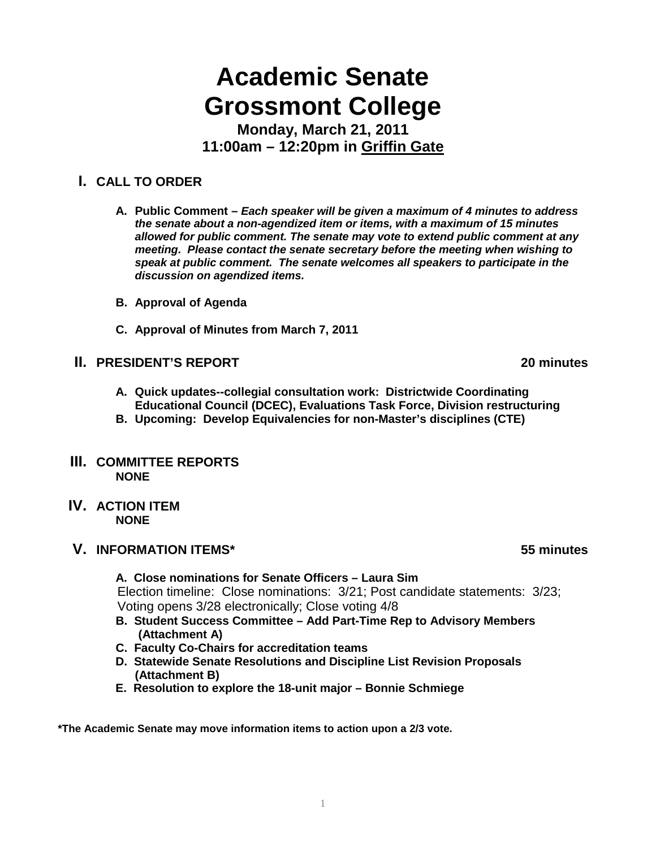# **Academic Senate Grossmont College**

**Monday, March 21, 2011 11:00am – 12:20pm in Griffin Gate**

# **I. CALL TO ORDER**

- **A. Public Comment –** *Each speaker will be given a maximum of 4 minutes to address the senate about a non-agendized item or items, with a maximum of 15 minutes allowed for public comment. The senate may vote to extend public comment at any meeting. Please contact the senate secretary before the meeting when wishing to speak at public comment. The senate welcomes all speakers to participate in the discussion on agendized items.*
- **B. Approval of Agenda**
- **C. Approval of Minutes from March 7, 2011**

# **II. PRESIDENT'S REPORT 20 minutes**

- **A. Quick updates--collegial consultation work: Districtwide Coordinating Educational Council (DCEC), Evaluations Task Force, Division restructuring**
- **B. Upcoming: Develop Equivalencies for non-Master's disciplines (CTE)**

#### **III. COMMITTEE REPORTS NONE**

**IV. ACTION ITEM NONE**

# **V. INFORMATION ITEMS\* 55 minutes**

**A. Close nominations for Senate Officers – Laura Sim**

Election timeline: Close nominations: 3/21; Post candidate statements: 3/23; Voting opens 3/28 electronically; Close voting 4/8

- **B. Student Success Committee – Add Part-Time Rep to Advisory Members (Attachment A)**
- **C. Faculty Co-Chairs for accreditation teams**
- **D. Statewide Senate Resolutions and Discipline List Revision Proposals (Attachment B)**
- **E. Resolution to explore the 18-unit major – Bonnie Schmiege**

**\*The Academic Senate may move information items to action upon a 2/3 vote.**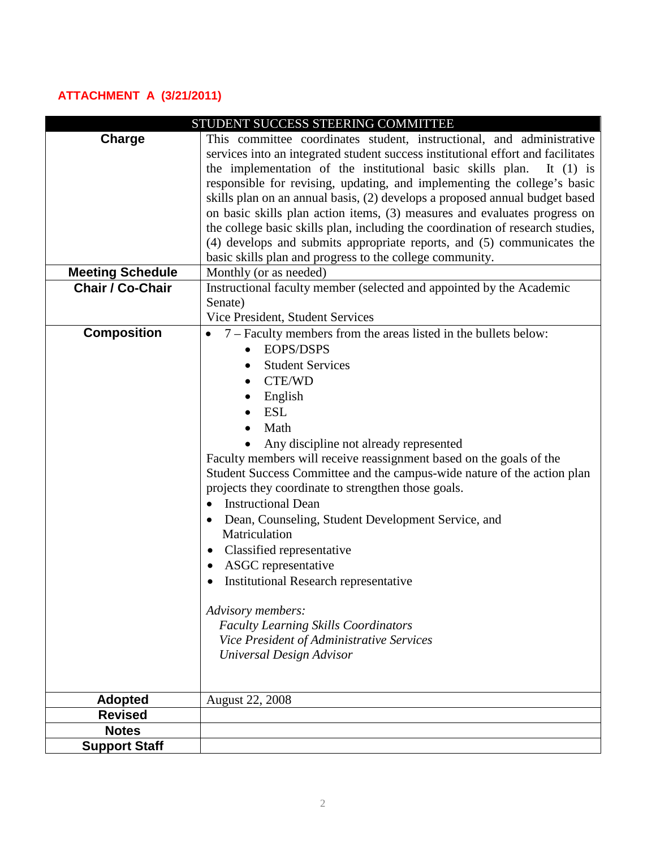# **ATTACHMENT A (3/21/2011)**

| STUDENT SUCCESS STEERING COMMITTEE |                                                                                  |  |  |
|------------------------------------|----------------------------------------------------------------------------------|--|--|
| Charge                             | This committee coordinates student, instructional, and administrative            |  |  |
|                                    | services into an integrated student success institutional effort and facilitates |  |  |
|                                    | the implementation of the institutional basic skills plan.<br>It $(1)$ is        |  |  |
|                                    | responsible for revising, updating, and implementing the college's basic         |  |  |
|                                    | skills plan on an annual basis, (2) develops a proposed annual budget based      |  |  |
|                                    | on basic skills plan action items, (3) measures and evaluates progress on        |  |  |
|                                    | the college basic skills plan, including the coordination of research studies,   |  |  |
|                                    | (4) develops and submits appropriate reports, and (5) communicates the           |  |  |
|                                    | basic skills plan and progress to the college community.                         |  |  |
| <b>Meeting Schedule</b>            | Monthly (or as needed)                                                           |  |  |
| <b>Chair / Co-Chair</b>            | Instructional faculty member (selected and appointed by the Academic             |  |  |
|                                    | Senate)                                                                          |  |  |
|                                    | Vice President, Student Services                                                 |  |  |
| <b>Composition</b>                 | 7 – Faculty members from the areas listed in the bullets below:                  |  |  |
|                                    | <b>EOPS/DSPS</b>                                                                 |  |  |
|                                    | <b>Student Services</b>                                                          |  |  |
|                                    | CTE/WD                                                                           |  |  |
|                                    | English                                                                          |  |  |
|                                    | <b>ESL</b>                                                                       |  |  |
|                                    | Math                                                                             |  |  |
|                                    | Any discipline not already represented                                           |  |  |
|                                    | Faculty members will receive reassignment based on the goals of the              |  |  |
|                                    | Student Success Committee and the campus-wide nature of the action plan          |  |  |
|                                    | projects they coordinate to strengthen those goals.                              |  |  |
|                                    | <b>Instructional Dean</b><br>$\bullet$                                           |  |  |
|                                    |                                                                                  |  |  |
|                                    | Dean, Counseling, Student Development Service, and<br>Matriculation              |  |  |
|                                    |                                                                                  |  |  |
|                                    | Classified representative<br>$\bullet$                                           |  |  |
|                                    | ASGC representative<br>$\bullet$                                                 |  |  |
|                                    | <b>Institutional Research representative</b>                                     |  |  |
|                                    | Advisory members:                                                                |  |  |
|                                    | <b>Faculty Learning Skills Coordinators</b>                                      |  |  |
|                                    | Vice President of Administrative Services                                        |  |  |
|                                    | Universal Design Advisor                                                         |  |  |
|                                    |                                                                                  |  |  |
|                                    |                                                                                  |  |  |
| <b>Adopted</b>                     | August 22, 2008                                                                  |  |  |
| <b>Revised</b>                     |                                                                                  |  |  |
| <b>Notes</b>                       |                                                                                  |  |  |
| <b>Support Staff</b>               |                                                                                  |  |  |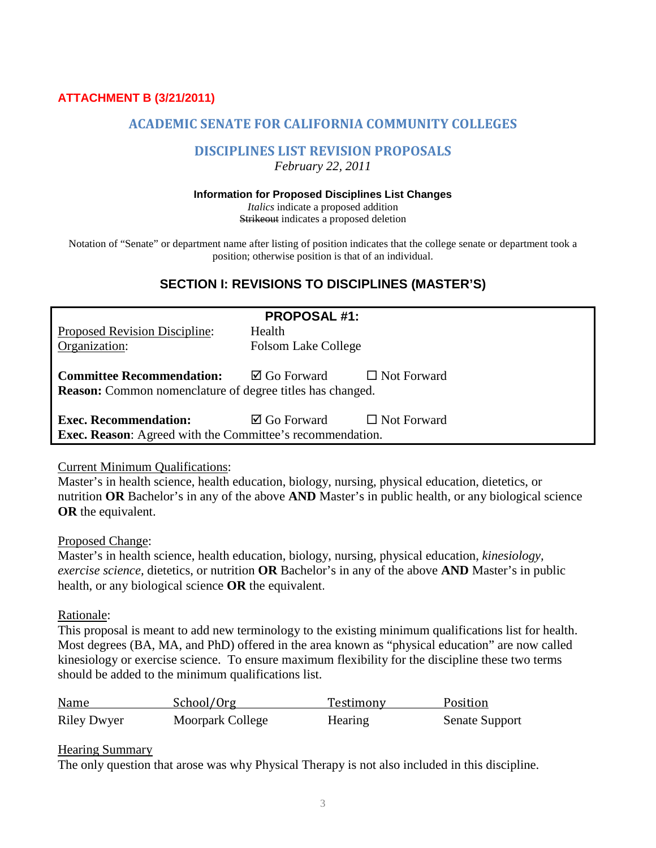# **ATTACHMENT B (3/21/2011)**

# **ACADEMIC SENATE FOR CALIFORNIA COMMUNITY COLLEGES**

#### **DISCIPLINES LIST REVISION PROPOSALS**

*February 22, 2011*

**Information for Proposed Disciplines List Changes**

*Italics* indicate a proposed addition Strikeout indicates a proposed deletion

Notation of "Senate" or department name after listing of position indicates that the college senate or department took a position; otherwise position is that of an individual.

# **SECTION I: REVISIONS TO DISCIPLINES (MASTER'S)**

| <b>PROPOSAL #1:</b>                                                                                                                       |                                           |  |  |
|-------------------------------------------------------------------------------------------------------------------------------------------|-------------------------------------------|--|--|
| <b>Proposed Revision Discipline:</b>                                                                                                      | Health                                    |  |  |
| Organization:                                                                                                                             | <b>Folsom Lake College</b>                |  |  |
| <b>Committee Recommendation:</b> $\Box$ Go Forward $\Box$ Not Forward<br><b>Reason:</b> Common nomenclature of degree titles has changed. |                                           |  |  |
| <b>Exec. Recommendation:</b>                                                                                                              | $\boxtimes$ Go Forward $\Box$ Not Forward |  |  |
| <b>Exec. Reason:</b> Agreed with the Committee's recommendation.                                                                          |                                           |  |  |

#### Current Minimum Qualifications:

Master's in health science, health education, biology, nursing, physical education, dietetics, or nutrition **OR** Bachelor's in any of the above **AND** Master's in public health, or any biological science **OR** the equivalent.

Proposed Change:

Master's in health science, health education, biology, nursing, physical education, *kinesiology, exercise science,* dietetics, or nutrition **OR** Bachelor's in any of the above **AND** Master's in public health, or any biological science **OR** the equivalent.

#### Rationale:

This proposal is meant to add new terminology to the existing minimum qualifications list for health. Most degrees (BA, MA, and PhD) offered in the area known as "physical education" are now called kinesiology or exercise science. To ensure maximum flexibility for the discipline these two terms should be added to the minimum qualifications list.

| Name               | School/Org       | Testimony | Position              |
|--------------------|------------------|-----------|-----------------------|
| <b>Riley Dwyer</b> | Moorpark College | Hearing   | <b>Senate Support</b> |

#### Hearing Summary

The only question that arose was why Physical Therapy is not also included in this discipline.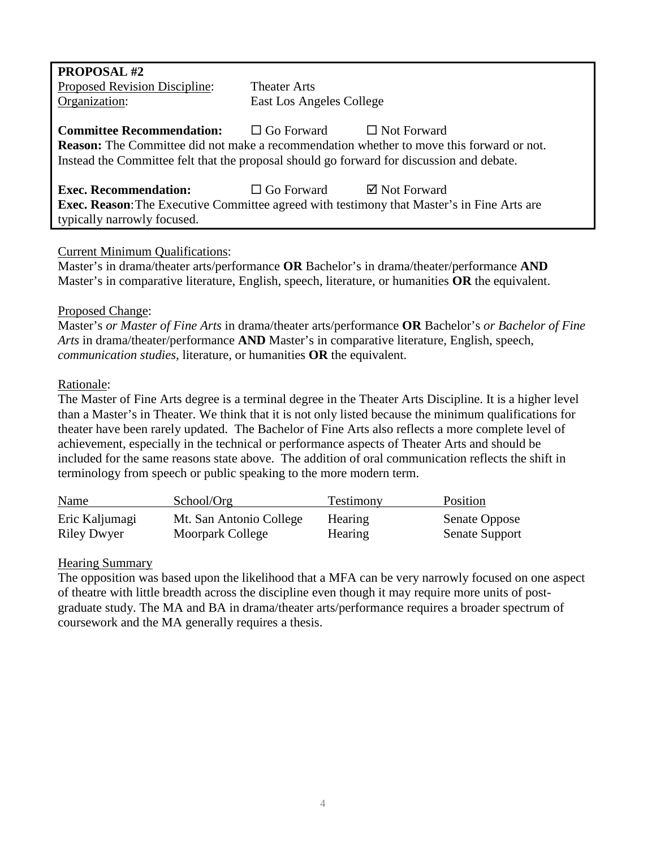| <b>PROPOSAL #2</b>                                                                                |                                      |  |  |
|---------------------------------------------------------------------------------------------------|--------------------------------------|--|--|
| Proposed Revision Discipline:                                                                     | Theater Arts                         |  |  |
| Organization:                                                                                     | East Los Angeles College             |  |  |
| <b>Committee Recommendation:</b>                                                                  | $\Box$ Go Forward $\Box$ Not Forward |  |  |
| <b>Reason:</b> The Committee did not make a recommendation whether to move this forward or not.   |                                      |  |  |
| Instead the Committee felt that the proposal should go forward for discussion and debate.         |                                      |  |  |
| <b>Exec. Recommendation:</b>                                                                      | $\Box$ Go Forward $\Box$ Not Forward |  |  |
| <b>Exec. Reason:</b> The Executive Committee agreed with testimony that Master's in Fine Arts are |                                      |  |  |

# typically narrowly focused.

#### Current Minimum Qualifications:

Master's in drama/theater arts/performance **OR** Bachelor's in drama/theater/performance **AND** Master's in comparative literature, English, speech, literature, or humanities **OR** the equivalent.

#### Proposed Change:

Master's *or Master of Fine Arts* in drama/theater arts/performance **OR** Bachelor's *or Bachelor of Fine Arts* in drama/theater/performance **AND** Master's in comparative literature, English, speech, *communication studies,* literature, or humanities **OR** the equivalent.

#### Rationale:

The Master of Fine Arts degree is a terminal degree in the Theater Arts Discipline. It is a higher level than a Master's in Theater. We think that it is not only listed because the minimum qualifications for theater have been rarely updated. The Bachelor of Fine Arts also reflects a more complete level of achievement, especially in the technical or performance aspects of Theater Arts and should be included for the same reasons state above. The addition of oral communication reflects the shift in terminology from speech or public speaking to the more modern term.

| Name               | School/Org              | Testimony | Position              |
|--------------------|-------------------------|-----------|-----------------------|
| Eric Kaljumagi     | Mt. San Antonio College | Hearing   | <b>Senate Oppose</b>  |
| <b>Riley Dwyer</b> | Moorpark College        | Hearing   | <b>Senate Support</b> |

# **Hearing Summary**

The opposition was based upon the likelihood that a MFA can be very narrowly focused on one aspect of theatre with little breadth across the discipline even though it may require more units of postgraduate study. The MA and BA in drama/theater arts/performance requires a broader spectrum of coursework and the MA generally requires a thesis.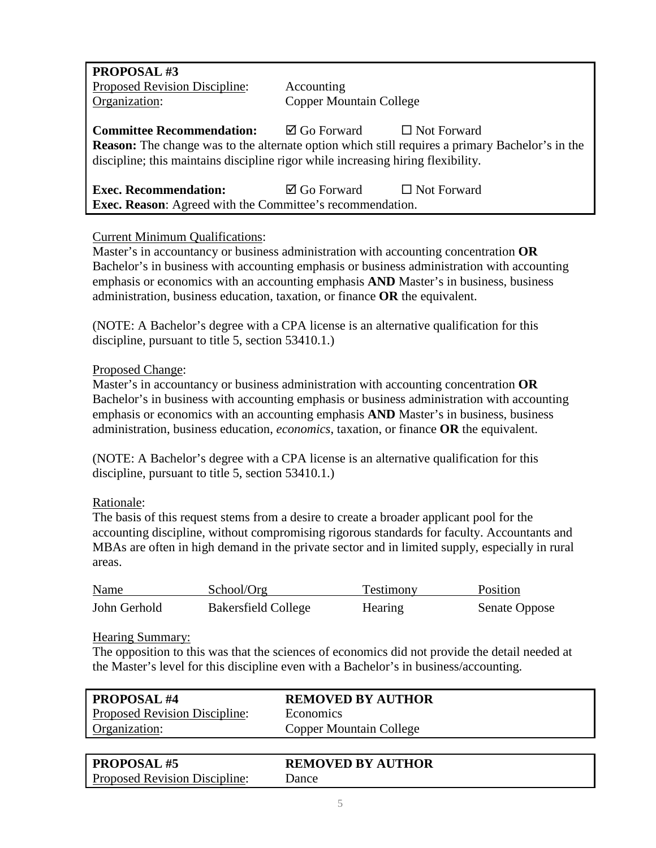| <b>PROPOSAL#3</b><br>Proposed Revision Discipline:<br>Organization:                                                  | Accounting<br><b>Copper Mountain College</b> |                                                                                                        |
|----------------------------------------------------------------------------------------------------------------------|----------------------------------------------|--------------------------------------------------------------------------------------------------------|
| <b>Committee Recommendation:</b><br>discipline; this maintains discipline rigor while increasing hiring flexibility. | $\boxtimes$ Go Forward $\Box$ Not Forward    | <b>Reason:</b> The change was to the alternate option which still requires a primary Bachelor's in the |
| <b>Exec. Recommendation:</b>                                                                                         | $\boxtimes$ Go Forward                       | $\Box$ Not Forward                                                                                     |

Current Minimum Qualifications:

**Exec. Reason**: Agreed with the Committee's recommendation.

Master's in accountancy or business administration with accounting concentration **OR**  Bachelor's in business with accounting emphasis or business administration with accounting emphasis or economics with an accounting emphasis **AND** Master's in business, business administration, business education, taxation, or finance **OR** the equivalent.

(NOTE: A Bachelor's degree with a CPA license is an alternative qualification for this discipline, pursuant to title 5, section 53410.1.)

#### Proposed Change:

Master's in accountancy or business administration with accounting concentration **OR**  Bachelor's in business with accounting emphasis or business administration with accounting emphasis or economics with an accounting emphasis **AND** Master's in business, business administration, business education, *economics*, taxation, or finance **OR** the equivalent.

(NOTE: A Bachelor's degree with a CPA license is an alternative qualification for this discipline, pursuant to title 5, section 53410.1.)

#### Rationale:

The basis of this request stems from a desire to create a broader applicant pool for the accounting discipline, without compromising rigorous standards for faculty. Accountants and MBAs are often in high demand in the private sector and in limited supply, especially in rural areas.

| Name         | School/Org                 | <b>Testimony</b> | Position             |
|--------------|----------------------------|------------------|----------------------|
| John Gerhold | <b>Bakersfield College</b> | Hearing          | <b>Senate Oppose</b> |

#### Hearing Summary:

The opposition to this was that the sciences of economics did not provide the detail needed at the Master's level for this discipline even with a Bachelor's in business/accounting.

| <b>PROPOSAL #4</b>            | <b>REMOVED BY AUTHOR</b> |
|-------------------------------|--------------------------|
| Proposed Revision Discipline: | <b>Economics</b>         |
| Organization:                 | Copper Mountain College  |
|                               |                          |
| $MDODOCAT$ $4E$               | DEMAVED DV AUTHAD        |

| <b>PROPOSAL #5</b>                   | <b>REMOVED BY AUTHOR</b> |
|--------------------------------------|--------------------------|
| <b>Proposed Revision Discipline:</b> | Jance                    |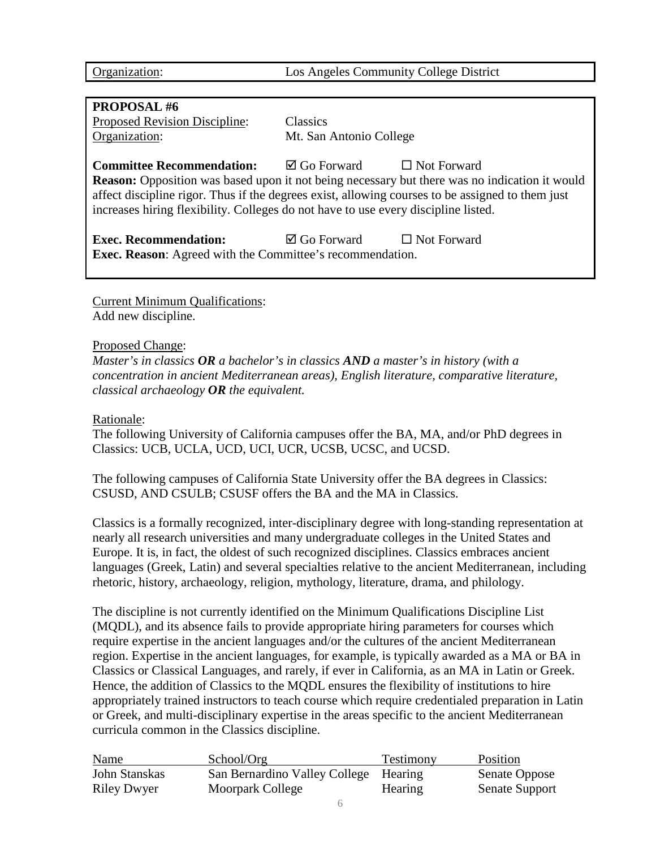Organization: Los Angeles Community College District

#### **PROPOSAL #6**

Proposed Revision Discipline: Classics Organization: Mt. San Antonio College

Committee Recommendation: **Ø Go Forward** □ Not Forward **Reason:** Opposition was based upon it not being necessary but there was no indication it would affect discipline rigor. Thus if the degrees exist, allowing courses to be assigned to them just increases hiring flexibility. Colleges do not have to use every discipline listed.

| <b>Exec. Recommendation:</b>                                     | $\boxtimes$ Go Forward | $\Box$ Not Forward |
|------------------------------------------------------------------|------------------------|--------------------|
| <b>Exec. Reason:</b> Agreed with the Committee's recommendation. |                        |                    |

Current Minimum Qualifications: Add new discipline.

#### Proposed Change:

*Master's in classics OR a bachelor's in classics AND a master's in history (with a concentration in ancient Mediterranean areas), English literature, comparative literature, classical archaeology OR the equivalent.* 

#### Rationale:

The following University of California campuses offer the BA, MA, and/or PhD degrees in Classics: UCB, UCLA, UCD, UCI, UCR, UCSB, UCSC, and UCSD.

The following campuses of California State University offer the BA degrees in Classics: CSUSD, AND CSULB; CSUSF offers the BA and the MA in Classics.

Classics is a formally recognized, inter-disciplinary degree with long-standing representation at nearly all research universities and many undergraduate colleges in the United States and Europe. It is, in fact, the oldest of such recognized disciplines. Classics embraces ancient languages (Greek, Latin) and several specialties relative to the ancient Mediterranean, including rhetoric, history, archaeology, religion, mythology, literature, drama, and philology.

The discipline is not currently identified on the Minimum Qualifications Discipline List (MQDL), and its absence fails to provide appropriate hiring parameters for courses which require expertise in the ancient languages and/or the cultures of the ancient Mediterranean region. Expertise in the ancient languages, for example, is typically awarded as a MA or BA in Classics or Classical Languages, and rarely, if ever in California, as an MA in Latin or Greek. Hence, the addition of Classics to the MQDL ensures the flexibility of institutions to hire appropriately trained instructors to teach course which require credentialed preparation in Latin or Greek, and multi-disciplinary expertise in the areas specific to the ancient Mediterranean curricula common in the Classics discipline.

| Name               | School/Org                            | Testimony | Position              |
|--------------------|---------------------------------------|-----------|-----------------------|
| John Stanskas      | San Bernardino Valley College Hearing |           | Senate Oppose         |
| <b>Riley Dwyer</b> | Moorpark College                      | Hearing   | <b>Senate Support</b> |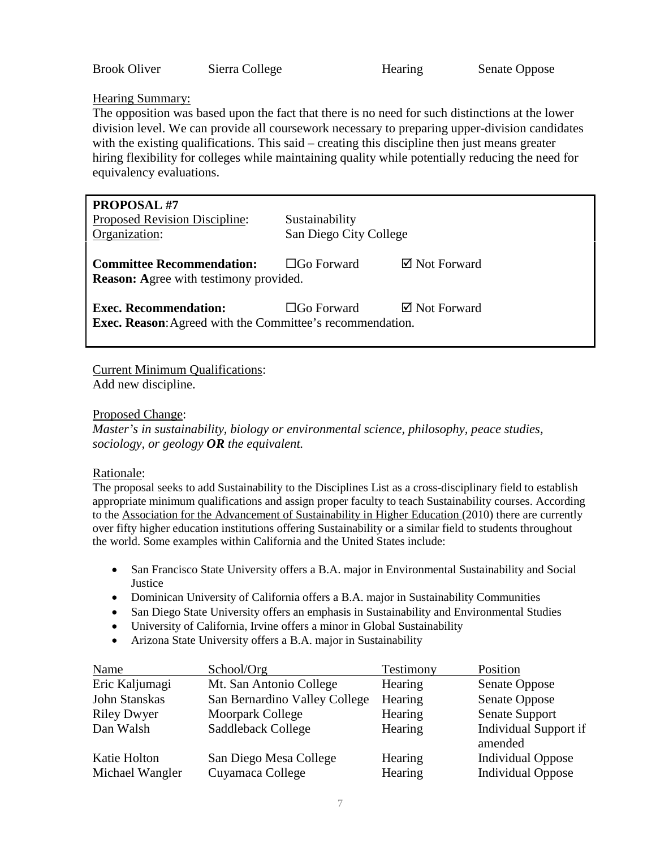Sierra College Hearing Senate Oppose

#### Hearing Summary:

The opposition was based upon the fact that there is no need for such distinctions at the lower division level. We can provide all coursework necessary to preparing upper-division candidates with the existing qualifications. This said – creating this discipline then just means greater hiring flexibility for colleges while maintaining quality while potentially reducing the need for equivalency evaluations.

| <b>PROPOSAL#7</b><br><b>Proposed Revision Discipline:</b><br>Organization:                       | Sustainability<br>San Diego City College |                         |
|--------------------------------------------------------------------------------------------------|------------------------------------------|-------------------------|
| <b>Committee Recommendation:</b><br><b>Reason:</b> Agree with testimony provided.                | $\Box$ Go Forward                        | $\boxtimes$ Not Forward |
| <b>Exec. Recommendation:</b><br><b>Exec. Reason:</b> Agreed with the Committee's recommendation. | $\Box$ Go Forward                        | $\boxtimes$ Not Forward |

Current Minimum Qualifications: Add new discipline.

#### Proposed Change:

*Master's in sustainability, biology or environmental science, philosophy, peace studies, sociology, or geology OR the equivalent.* 

#### Rationale:

The proposal seeks to add Sustainability to the Disciplines List as a cross-disciplinary field to establish appropriate minimum qualifications and assign proper faculty to teach Sustainability courses. According to the Association for the Advancement of Sustainability in Higher Education (2010) there are currently over fifty higher education institutions offering Sustainability or a similar field to students throughout the world. Some examples within California and the United States include:

- San Francisco State University offers a B.A. major in Environmental Sustainability and Social **Justice**
- Dominican University of California offers a B.A. major in Sustainability Communities
- San Diego State University offers an emphasis in Sustainability and Environmental Studies
- University of California, Irvine offers a minor in Global Sustainability
- Arizona State University offers a B.A. major in Sustainability

| Name               | School/Org                    | Testimony | Position                 |
|--------------------|-------------------------------|-----------|--------------------------|
| Eric Kaljumagi     | Mt. San Antonio College       | Hearing   | <b>Senate Oppose</b>     |
| John Stanskas      | San Bernardino Valley College | Hearing   | <b>Senate Oppose</b>     |
| <b>Riley Dwyer</b> | Moorpark College              | Hearing   | <b>Senate Support</b>    |
| Dan Walsh          | <b>Saddleback College</b>     | Hearing   | Individual Support if    |
|                    |                               |           | amended                  |
| Katie Holton       | San Diego Mesa College        | Hearing   | <b>Individual Oppose</b> |
| Michael Wangler    | Cuyamaca College              | Hearing   | <b>Individual Oppose</b> |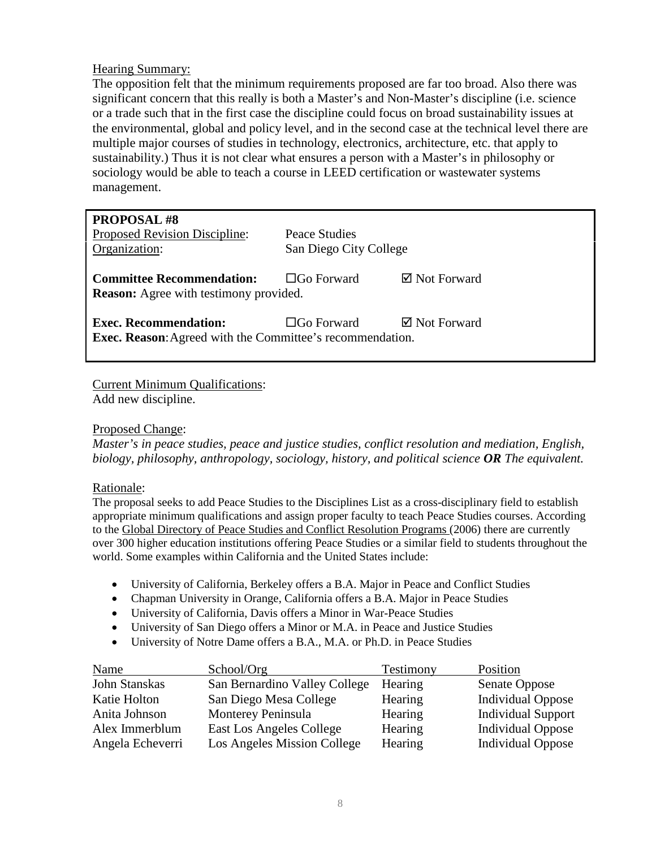The opposition felt that the minimum requirements proposed are far too broad. Also there was significant concern that this really is both a Master's and Non-Master's discipline (i.e. science or a trade such that in the first case the discipline could focus on broad sustainability issues at the environmental, global and policy level, and in the second case at the technical level there are multiple major courses of studies in technology, electronics, architecture, etc. that apply to sustainability.) Thus it is not clear what ensures a person with a Master's in philosophy or sociology would be able to teach a course in LEED certification or wastewater systems management.

| <b>PROPOSAL#8</b><br>Proposed Revision Discipline:<br>Organization:                              | Peace Studies<br>San Diego City College |                         |
|--------------------------------------------------------------------------------------------------|-----------------------------------------|-------------------------|
| <b>Committee Recommendation:</b><br><b>Reason:</b> Agree with testimony provided.                | $\Box$ Go Forward                       | $\boxtimes$ Not Forward |
| <b>Exec. Recommendation:</b><br><b>Exec. Reason:</b> Agreed with the Committee's recommendation. | $\Box$ Go Forward                       | $\boxtimes$ Not Forward |

#### Current Minimum Qualifications:

Add new discipline.

Proposed Change:

*Master's in peace studies, peace and justice studies, conflict resolution and mediation, English, biology, philosophy, anthropology, sociology, history, and political science OR The equivalent.*

#### Rationale:

The proposal seeks to add Peace Studies to the Disciplines List as a cross-disciplinary field to establish appropriate minimum qualifications and assign proper faculty to teach Peace Studies courses. According to the Global Directory of Peace Studies and Conflict Resolution Programs (2006) there are currently over 300 higher education institutions offering Peace Studies or a similar field to students throughout the world. Some examples within California and the United States include:

- University of California, Berkeley offers a B.A. Major in Peace and Conflict Studies
- Chapman University in Orange, California offers a B.A. Major in Peace Studies
- University of California, Davis offers a Minor in War-Peace Studies
- University of San Diego offers a Minor or M.A. in Peace and Justice Studies
- University of Notre Dame offers a B.A., M.A. or Ph.D. in Peace Studies

| Name             | School/Org                    | Testimony | Position                  |
|------------------|-------------------------------|-----------|---------------------------|
| John Stanskas    | San Bernardino Valley College | Hearing   | <b>Senate Oppose</b>      |
| Katie Holton     | San Diego Mesa College        | Hearing   | <b>Individual Oppose</b>  |
| Anita Johnson    | Monterey Peninsula            | Hearing   | <b>Individual Support</b> |
| Alex Immerblum   | East Los Angeles College      | Hearing   | <b>Individual Oppose</b>  |
| Angela Echeverri | Los Angeles Mission College   | Hearing   | <b>Individual Oppose</b>  |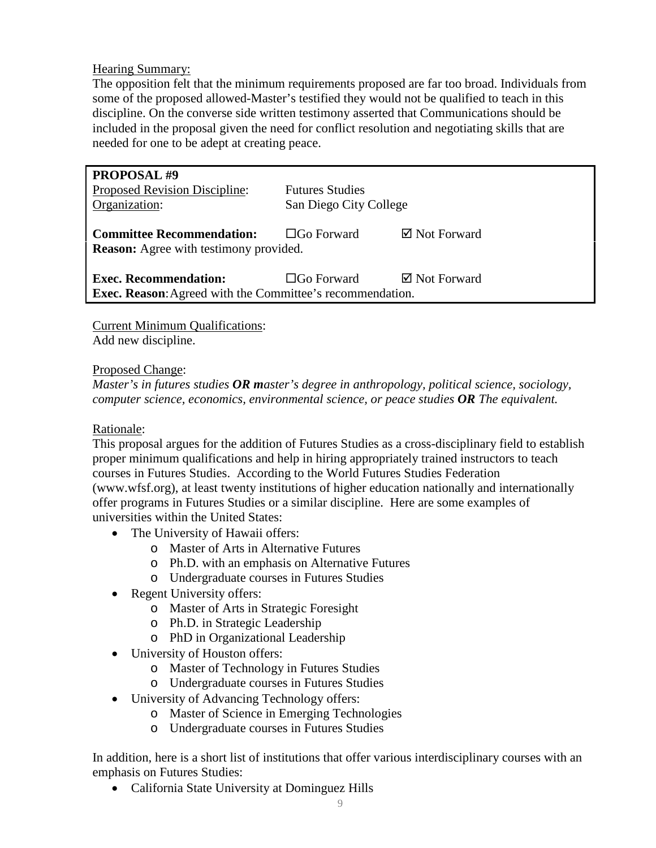The opposition felt that the minimum requirements proposed are far too broad. Individuals from some of the proposed allowed-Master's testified they would not be qualified to teach in this discipline. On the converse side written testimony asserted that Communications should be included in the proposal given the need for conflict resolution and negotiating skills that are needed for one to be adept at creating peace.

| <b>PROPOSAL#9</b><br>Proposed Revision Discipline:<br>Organization:                                                                              | <b>Futures Studies</b><br>San Diego City College |  |  |
|--------------------------------------------------------------------------------------------------------------------------------------------------|--------------------------------------------------|--|--|
| $\boxtimes$ Not Forward<br>$\Box$ Go Forward<br><b>Committee Recommendation:</b><br><b>Reason:</b> Agree with testimony provided.                |                                                  |  |  |
| $\boxtimes$ Not Forward<br><b>Exec. Recommendation:</b><br>$\Box$ Go Forward<br><b>Exec. Reason:</b> Agreed with the Committee's recommendation. |                                                  |  |  |

Current Minimum Qualifications: Add new discipline.

#### Proposed Change:

*Master's in futures studies OR master's degree in anthropology, political science, sociology, computer science, economics, environmental science, or peace studies OR The equivalent.* 

#### Rationale:

This proposal argues for the addition of Futures Studies as a cross-disciplinary field to establish proper minimum qualifications and help in hiring appropriately trained instructors to teach courses in Futures Studies. According to the World Futures Studies Federation (www.wfsf.org), at least twenty institutions of higher education nationally and internationally offer programs in Futures Studies or a similar discipline. Here are some examples of universities within the United States:

- The University of Hawaii offers:
	- o Master of Arts in Alternative Futures
	- o Ph.D. with an emphasis on Alternative Futures
	- o Undergraduate courses in Futures Studies
- Regent University offers:
	- o Master of Arts in Strategic Foresight
	- o Ph.D. in Strategic Leadership
	- o PhD in Organizational Leadership
- University of Houston offers:
	- o Master of Technology in Futures Studies
	- o Undergraduate courses in Futures Studies
- University of Advancing Technology offers:
	- o Master of Science in Emerging Technologies
	- o Undergraduate courses in Futures Studies

In addition, here is a short list of institutions that offer various interdisciplinary courses with an emphasis on Futures Studies:

• California State University at Dominguez Hills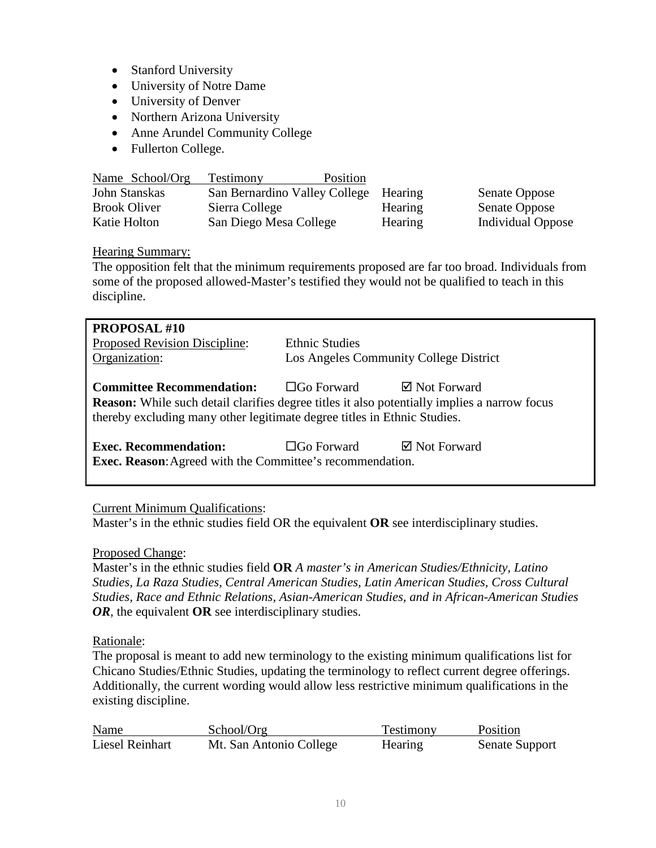- Stanford University
- University of Notre Dame
- University of Denver
- Northern Arizona University
- Anne Arundel Community College
- Fullerton College.

| Name School/Org     | <b>Testimony</b>              | Position |                      |
|---------------------|-------------------------------|----------|----------------------|
| John Stanskas       | San Bernardino Valley College | Hearing  | <b>Senate Oppose</b> |
| <b>Brook Oliver</b> | Sierra College                | Hearing  | <b>Senate Oppose</b> |
| Katie Holton        | San Diego Mesa College        | Hearing  | Individual Oppose    |

The opposition felt that the minimum requirements proposed are far too broad. Individuals from some of the proposed allowed-Master's testified they would not be qualified to teach in this discipline.

| <b>PROPOSAL #10</b><br>Proposed Revision Discipline:<br>Organization:                                                                                                                                                                                               | <b>Ethnic Studies</b><br>Los Angeles Community College District |  |
|---------------------------------------------------------------------------------------------------------------------------------------------------------------------------------------------------------------------------------------------------------------------|-----------------------------------------------------------------|--|
| $\boxtimes$ Not Forward<br>$\Box$ Go Forward<br><b>Committee Recommendation:</b><br><b>Reason:</b> While such detail clarifies degree titles it also potentially implies a narrow focus<br>thereby excluding many other legitimate degree titles in Ethnic Studies. |                                                                 |  |
| <b>Exec. Recommendation:</b><br><b>Exec. Reason:</b> Agreed with the Committee's recommendation.                                                                                                                                                                    | $\Box$ Go Forward $\Box$ Not Forward                            |  |

#### Current Minimum Qualifications:

Master's in the ethnic studies field OR the equivalent **OR** see interdisciplinary studies.

Proposed Change:

Master's in the ethnic studies field **OR** *A master's in American Studies/Ethnicity, Latino Studies, La Raza Studies, Central American Studies, Latin American Studies, Cross Cultural Studies, Race and Ethnic Relations, Asian-American Studies, and in African-American Studies OR,* the equivalent **OR** see interdisciplinary studies.

#### Rationale:

The proposal is meant to add new terminology to the existing minimum qualifications list for Chicano Studies/Ethnic Studies, updating the terminology to reflect current degree offerings. Additionally, the current wording would allow less restrictive minimum qualifications in the existing discipline.

| Name            | School/Org              | <b>Testimony</b> | Position              |
|-----------------|-------------------------|------------------|-----------------------|
| Liesel Reinhart | Mt. San Antonio College | Hearing          | <b>Senate Support</b> |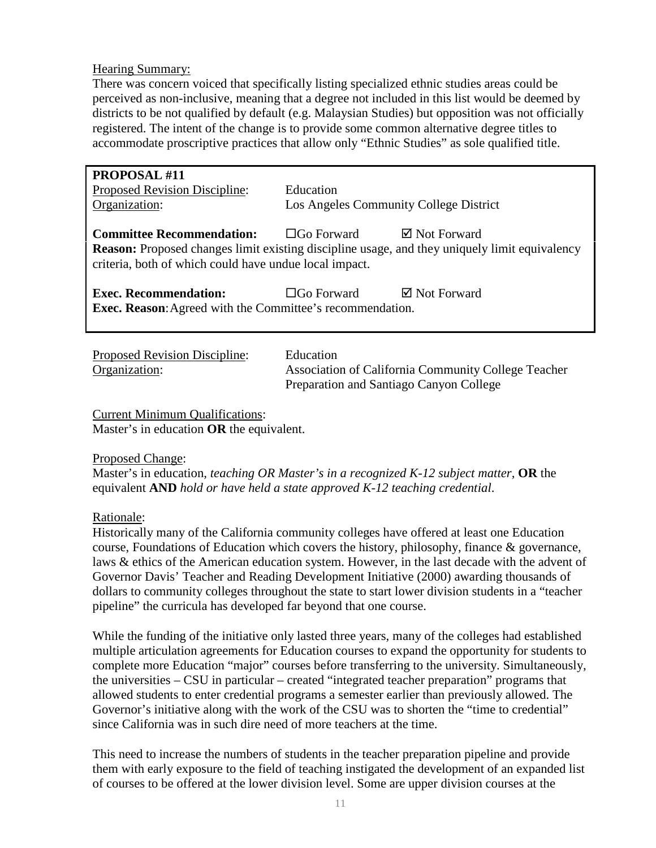There was concern voiced that specifically listing specialized ethnic studies areas could be perceived as non-inclusive, meaning that a degree not included in this list would be deemed by districts to be not qualified by default (e.g. Malaysian Studies) but opposition was not officially registered. The intent of the change is to provide some common alternative degree titles to accommodate proscriptive practices that allow only "Ethnic Studies" as sole qualified title.

| <b>PROPOSAL #11</b><br>Proposed Revision Discipline:<br>Organization:                                                                                                                              | Education<br>Los Angeles Community College District  |                                                     |
|----------------------------------------------------------------------------------------------------------------------------------------------------------------------------------------------------|------------------------------------------------------|-----------------------------------------------------|
| <b>Committee Recommendation:</b><br><b>Reason:</b> Proposed changes limit existing discipline usage, and they uniquely limit equivalency<br>criteria, both of which could have undue local impact. | $\Box$ Go Forward                                    | $\boxtimes$ Not Forward                             |
| <b>Exec. Recommendation:</b><br><b>Exec. Reason:</b> Agreed with the Committee's recommendation.                                                                                                   | $\Box$ Go Forward                                    | $\boxtimes$ Not Forward                             |
| <b>Proposed Revision Discipline:</b><br>Organization:                                                                                                                                              | Education<br>Preparation and Santiago Canyon College | Association of California Community College Teacher |

Current Minimum Qualifications: Master's in education **OR** the equivalent.

#### Proposed Change:

Master's in education, *teaching OR Master's in a recognized K-12 subject matter,* **OR** the equivalent **AND** *hold or have held a state approved K-12 teaching credential*.

#### Rationale:

Historically many of the California community colleges have offered at least one Education course, Foundations of Education which covers the history, philosophy, finance & governance, laws & ethics of the American education system. However, in the last decade with the advent of Governor Davis' Teacher and Reading Development Initiative (2000) awarding thousands of dollars to community colleges throughout the state to start lower division students in a "teacher pipeline" the curricula has developed far beyond that one course.

While the funding of the initiative only lasted three years, many of the colleges had established multiple articulation agreements for Education courses to expand the opportunity for students to complete more Education "major" courses before transferring to the university. Simultaneously, the universities – CSU in particular – created "integrated teacher preparation" programs that allowed students to enter credential programs a semester earlier than previously allowed. The Governor's initiative along with the work of the CSU was to shorten the "time to credential" since California was in such dire need of more teachers at the time.

This need to increase the numbers of students in the teacher preparation pipeline and provide them with early exposure to the field of teaching instigated the development of an expanded list of courses to be offered at the lower division level. Some are upper division courses at the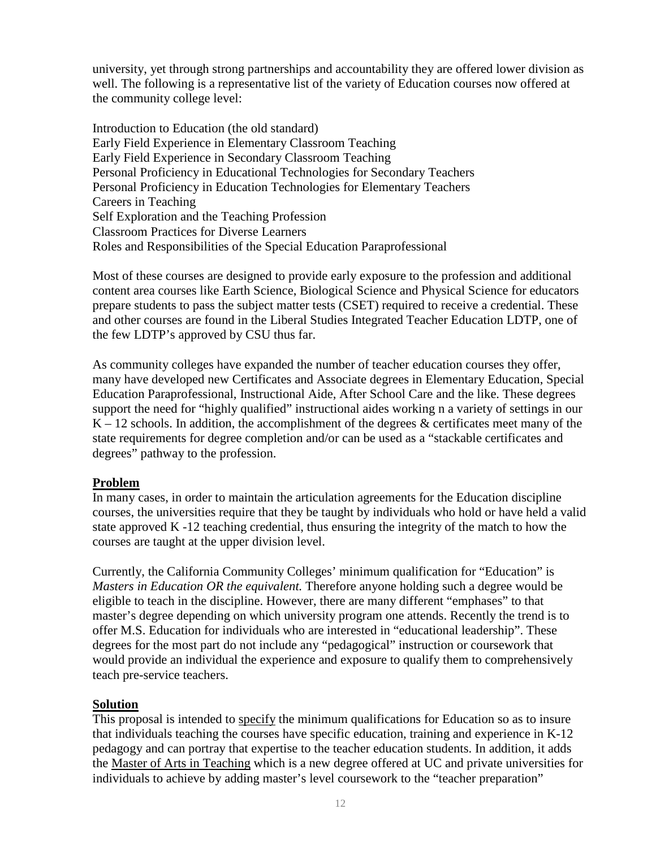university, yet through strong partnerships and accountability they are offered lower division as well. The following is a representative list of the variety of Education courses now offered at the community college level:

Introduction to Education (the old standard) Early Field Experience in Elementary Classroom Teaching Early Field Experience in Secondary Classroom Teaching Personal Proficiency in Educational Technologies for Secondary Teachers Personal Proficiency in Education Technologies for Elementary Teachers Careers in Teaching Self Exploration and the Teaching Profession Classroom Practices for Diverse Learners Roles and Responsibilities of the Special Education Paraprofessional

Most of these courses are designed to provide early exposure to the profession and additional content area courses like Earth Science, Biological Science and Physical Science for educators prepare students to pass the subject matter tests (CSET) required to receive a credential. These and other courses are found in the Liberal Studies Integrated Teacher Education LDTP, one of the few LDTP's approved by CSU thus far.

As community colleges have expanded the number of teacher education courses they offer, many have developed new Certificates and Associate degrees in Elementary Education, Special Education Paraprofessional, Instructional Aide, After School Care and the like. These degrees support the need for "highly qualified" instructional aides working n a variety of settings in our  $K - 12$  schools. In addition, the accomplishment of the degrees  $\&$  certificates meet many of the state requirements for degree completion and/or can be used as a "stackable certificates and degrees" pathway to the profession.

#### **Problem**

In many cases, in order to maintain the articulation agreements for the Education discipline courses, the universities require that they be taught by individuals who hold or have held a valid state approved K -12 teaching credential, thus ensuring the integrity of the match to how the courses are taught at the upper division level.

Currently, the California Community Colleges' minimum qualification for "Education" is *Masters in Education OR the equivalent.* Therefore anyone holding such a degree would be eligible to teach in the discipline. However, there are many different "emphases" to that master's degree depending on which university program one attends. Recently the trend is to offer M.S. Education for individuals who are interested in "educational leadership". These degrees for the most part do not include any "pedagogical" instruction or coursework that would provide an individual the experience and exposure to qualify them to comprehensively teach pre-service teachers.

# **Solution**

This proposal is intended to specify the minimum qualifications for Education so as to insure that individuals teaching the courses have specific education, training and experience in K-12 pedagogy and can portray that expertise to the teacher education students. In addition, it adds the Master of Arts in Teaching which is a new degree offered at UC and private universities for individuals to achieve by adding master's level coursework to the "teacher preparation"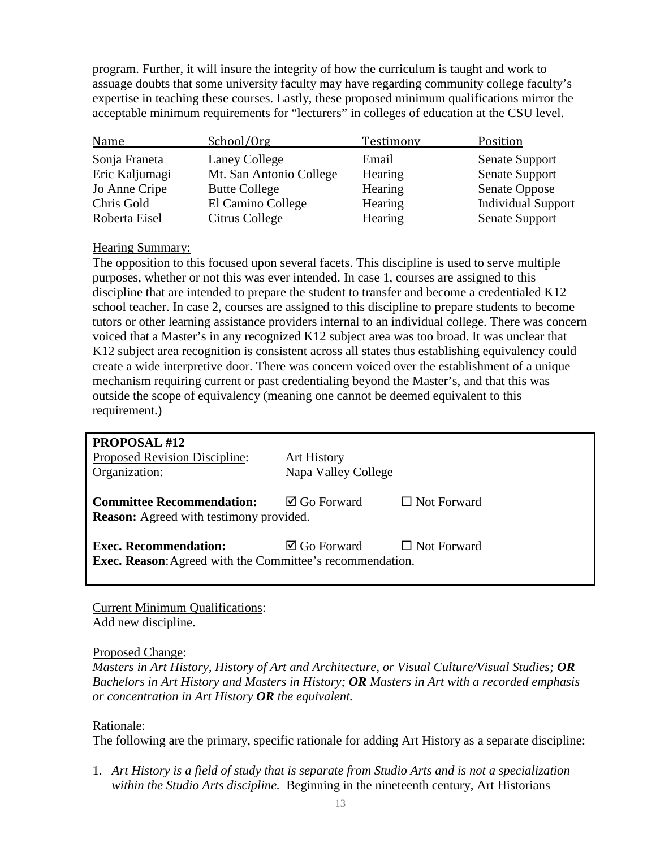program. Further, it will insure the integrity of how the curriculum is taught and work to assuage doubts that some university faculty may have regarding community college faculty's expertise in teaching these courses. Lastly, these proposed minimum qualifications mirror the acceptable minimum requirements for "lecturers" in colleges of education at the CSU level.

| Name           | School/Org              | <b>Testimony</b> | Position                  |
|----------------|-------------------------|------------------|---------------------------|
| Sonja Franeta  | Laney College           | Email            | <b>Senate Support</b>     |
| Eric Kaljumagi | Mt. San Antonio College | Hearing          | <b>Senate Support</b>     |
| Jo Anne Cripe  | <b>Butte College</b>    | Hearing          | <b>Senate Oppose</b>      |
| Chris Gold     | El Camino College       | Hearing          | <b>Individual Support</b> |
| Roberta Eisel  | Citrus College          | Hearing          | <b>Senate Support</b>     |

#### Hearing Summary:

The opposition to this focused upon several facets. This discipline is used to serve multiple purposes, whether or not this was ever intended. In case 1, courses are assigned to this discipline that are intended to prepare the student to transfer and become a credentialed K12 school teacher. In case 2, courses are assigned to this discipline to prepare students to become tutors or other learning assistance providers internal to an individual college. There was concern voiced that a Master's in any recognized K12 subject area was too broad. It was unclear that K12 subject area recognition is consistent across all states thus establishing equivalency could create a wide interpretive door. There was concern voiced over the establishment of a unique mechanism requiring current or past credentialing beyond the Master's, and that this was outside the scope of equivalency (meaning one cannot be deemed equivalent to this requirement.)

| <b>PROPOSAL #12</b><br>Proposed Revision Discipline:<br>Organization:                            | <b>Art History</b><br>Napa Valley College |                    |
|--------------------------------------------------------------------------------------------------|-------------------------------------------|--------------------|
| <b>Committee Recommendation:</b><br><b>Reason:</b> Agreed with testimony provided.               | $\boxtimes$ Go Forward                    | $\Box$ Not Forward |
| <b>Exec. Recommendation:</b><br><b>Exec. Reason:</b> Agreed with the Committee's recommendation. | $\boxtimes$ Go Forward $\Box$ Not Forward |                    |

Current Minimum Qualifications: Add new discipline.

#### Proposed Change:

*Masters in Art History, History of Art and Architecture, or Visual Culture/Visual Studies; OR Bachelors in Art History and Masters in History; OR Masters in Art with a recorded emphasis or concentration in Art History OR the equivalent.*

#### Rationale:

The following are the primary, specific rationale for adding Art History as a separate discipline:

1. *Art History is a field of study that is separate from Studio Arts and is not a specialization within the Studio Arts discipline.* Beginning in the nineteenth century, Art Historians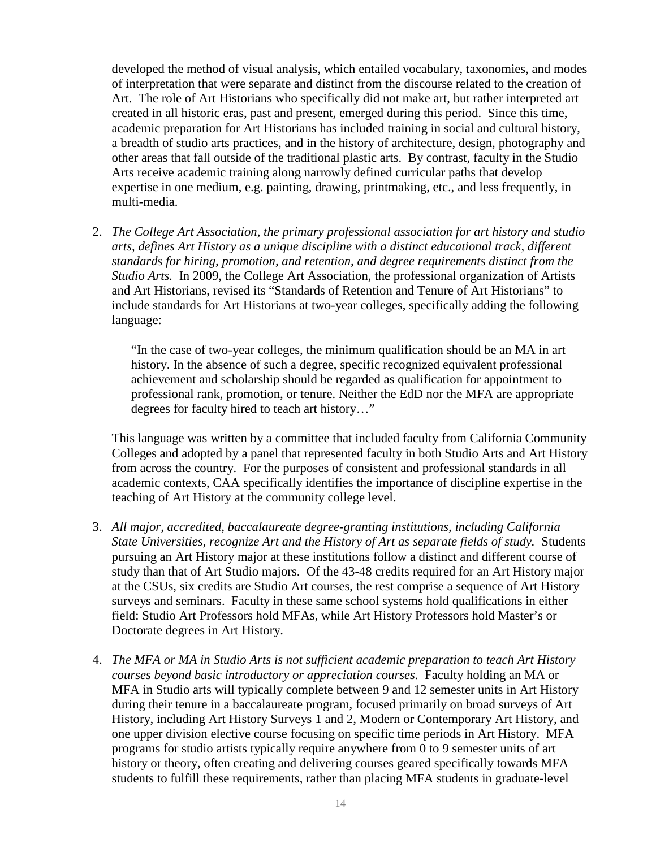developed the method of visual analysis, which entailed vocabulary, taxonomies, and modes of interpretation that were separate and distinct from the discourse related to the creation of Art. The role of Art Historians who specifically did not make art, but rather interpreted art created in all historic eras, past and present, emerged during this period. Since this time, academic preparation for Art Historians has included training in social and cultural history, a breadth of studio arts practices, and in the history of architecture, design, photography and other areas that fall outside of the traditional plastic arts. By contrast, faculty in the Studio Arts receive academic training along narrowly defined curricular paths that develop expertise in one medium, e.g. painting, drawing, printmaking, etc., and less frequently, in multi-media.

2. *The College Art Association, the primary professional association for art history and studio arts, defines Art History as a unique discipline with a distinct educational track, different standards for hiring, promotion, and retention, and degree requirements distinct from the Studio Arts.* In 2009, the College Art Association, the professional organization of Artists and Art Historians, revised its "Standards of Retention and Tenure of Art Historians" to include standards for Art Historians at two-year colleges, specifically adding the following language:

"In the case of two-year colleges, the minimum qualification should be an MA in art history. In the absence of such a degree, specific recognized equivalent professional achievement and scholarship should be regarded as qualification for appointment to professional rank, promotion, or tenure. Neither the EdD nor the MFA are appropriate degrees for faculty hired to teach art history…"

This language was written by a committee that included faculty from California Community Colleges and adopted by a panel that represented faculty in both Studio Arts and Art History from across the country. For the purposes of consistent and professional standards in all academic contexts, CAA specifically identifies the importance of discipline expertise in the teaching of Art History at the community college level.

- 3. *All major, accredited, baccalaureate degree-granting institutions, including California State Universities, recognize Art and the History of Art as separate fields of study.* Students pursuing an Art History major at these institutions follow a distinct and different course of study than that of Art Studio majors. Of the 43-48 credits required for an Art History major at the CSUs, six credits are Studio Art courses, the rest comprise a sequence of Art History surveys and seminars. Faculty in these same school systems hold qualifications in either field: Studio Art Professors hold MFAs, while Art History Professors hold Master's or Doctorate degrees in Art History.
- 4. *The MFA or MA in Studio Arts is not sufficient academic preparation to teach Art History courses beyond basic introductory or appreciation courses.* Faculty holding an MA or MFA in Studio arts will typically complete between 9 and 12 semester units in Art History during their tenure in a baccalaureate program, focused primarily on broad surveys of Art History, including Art History Surveys 1 and 2, Modern or Contemporary Art History, and one upper division elective course focusing on specific time periods in Art History. MFA programs for studio artists typically require anywhere from 0 to 9 semester units of art history or theory, often creating and delivering courses geared specifically towards MFA students to fulfill these requirements, rather than placing MFA students in graduate-level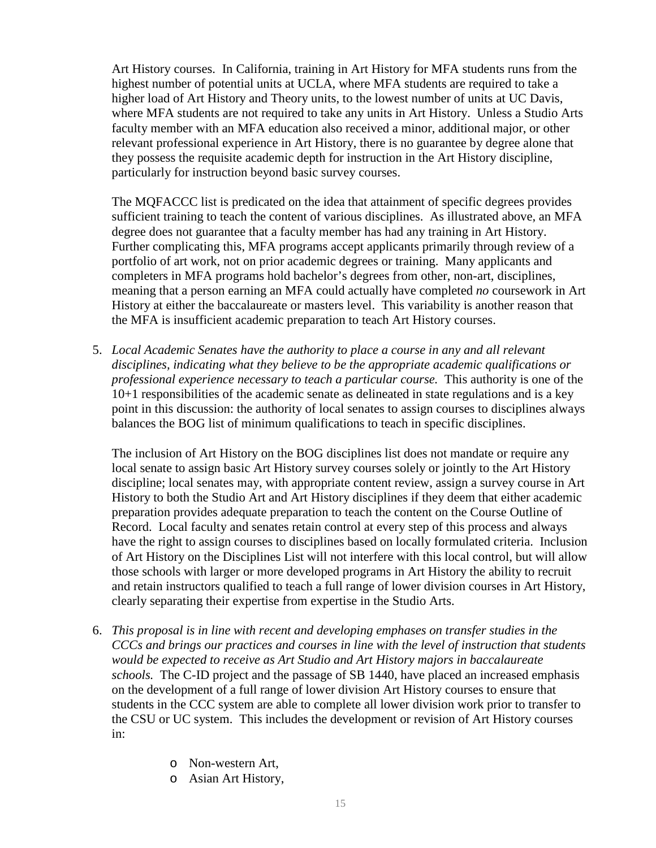Art History courses. In California, training in Art History for MFA students runs from the highest number of potential units at UCLA, where MFA students are required to take a higher load of Art History and Theory units, to the lowest number of units at UC Davis, where MFA students are not required to take any units in Art History. Unless a Studio Arts faculty member with an MFA education also received a minor, additional major, or other relevant professional experience in Art History, there is no guarantee by degree alone that they possess the requisite academic depth for instruction in the Art History discipline, particularly for instruction beyond basic survey courses.

The MQFACCC list is predicated on the idea that attainment of specific degrees provides sufficient training to teach the content of various disciplines. As illustrated above, an MFA degree does not guarantee that a faculty member has had any training in Art History. Further complicating this, MFA programs accept applicants primarily through review of a portfolio of art work, not on prior academic degrees or training. Many applicants and completers in MFA programs hold bachelor's degrees from other, non-art, disciplines, meaning that a person earning an MFA could actually have completed *no* coursework in Art History at either the baccalaureate or masters level. This variability is another reason that the MFA is insufficient academic preparation to teach Art History courses.

5. *Local Academic Senates have the authority to place a course in any and all relevant disciplines, indicating what they believe to be the appropriate academic qualifications or professional experience necessary to teach a particular course.* This authority is one of the 10+1 responsibilities of the academic senate as delineated in state regulations and is a key point in this discussion: the authority of local senates to assign courses to disciplines always balances the BOG list of minimum qualifications to teach in specific disciplines.

The inclusion of Art History on the BOG disciplines list does not mandate or require any local senate to assign basic Art History survey courses solely or jointly to the Art History discipline; local senates may, with appropriate content review, assign a survey course in Art History to both the Studio Art and Art History disciplines if they deem that either academic preparation provides adequate preparation to teach the content on the Course Outline of Record. Local faculty and senates retain control at every step of this process and always have the right to assign courses to disciplines based on locally formulated criteria. Inclusion of Art History on the Disciplines List will not interfere with this local control, but will allow those schools with larger or more developed programs in Art History the ability to recruit and retain instructors qualified to teach a full range of lower division courses in Art History, clearly separating their expertise from expertise in the Studio Arts.

- 6. *This proposal is in line with recent and developing emphases on transfer studies in the CCCs and brings our practices and courses in line with the level of instruction that students would be expected to receive as Art Studio and Art History majors in baccalaureate schools.* The C-ID project and the passage of SB 1440, have placed an increased emphasis on the development of a full range of lower division Art History courses to ensure that students in the CCC system are able to complete all lower division work prior to transfer to the CSU or UC system. This includes the development or revision of Art History courses in:
	- o Non-western Art,
	- o Asian Art History,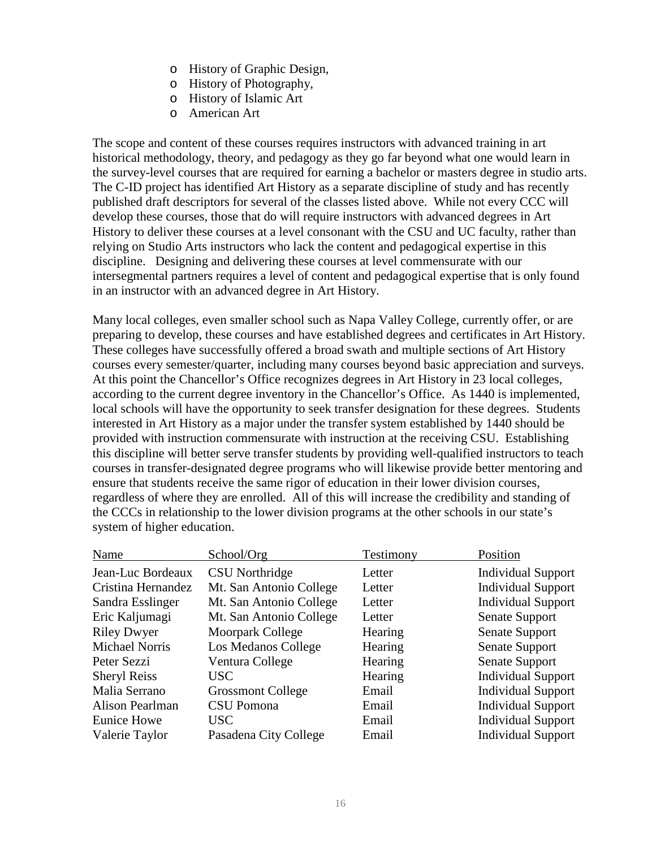- o History of Graphic Design,
- o History of Photography,
- o History of Islamic Art
- o American Art

The scope and content of these courses requires instructors with advanced training in art historical methodology, theory, and pedagogy as they go far beyond what one would learn in the survey-level courses that are required for earning a bachelor or masters degree in studio arts. The C-ID project has identified Art History as a separate discipline of study and has recently published draft descriptors for several of the classes listed above. While not every CCC will develop these courses, those that do will require instructors with advanced degrees in Art History to deliver these courses at a level consonant with the CSU and UC faculty, rather than relying on Studio Arts instructors who lack the content and pedagogical expertise in this discipline. Designing and delivering these courses at level commensurate with our intersegmental partners requires a level of content and pedagogical expertise that is only found in an instructor with an advanced degree in Art History.

Many local colleges, even smaller school such as Napa Valley College, currently offer, or are preparing to develop, these courses and have established degrees and certificates in Art History. These colleges have successfully offered a broad swath and multiple sections of Art History courses every semester/quarter, including many courses beyond basic appreciation and surveys. At this point the Chancellor's Office recognizes degrees in Art History in 23 local colleges, according to the current degree inventory in the Chancellor's Office. As 1440 is implemented, local schools will have the opportunity to seek transfer designation for these degrees. Students interested in Art History as a major under the transfer system established by 1440 should be provided with instruction commensurate with instruction at the receiving CSU. Establishing this discipline will better serve transfer students by providing well-qualified instructors to teach courses in transfer-designated degree programs who will likewise provide better mentoring and ensure that students receive the same rigor of education in their lower division courses, regardless of where they are enrolled. All of this will increase the credibility and standing of the CCCs in relationship to the lower division programs at the other schools in our state's system of higher education.

| Name                  | School/Org               | Testimony | Position                  |
|-----------------------|--------------------------|-----------|---------------------------|
| Jean-Luc Bordeaux     | CSU Northridge           | Letter    | <b>Individual Support</b> |
| Cristina Hernandez    | Mt. San Antonio College  | Letter    | <b>Individual Support</b> |
| Sandra Esslinger      | Mt. San Antonio College  | Letter    | <b>Individual Support</b> |
| Eric Kaljumagi        | Mt. San Antonio College  | Letter    | Senate Support            |
| <b>Riley Dwyer</b>    | Moorpark College         | Hearing   | Senate Support            |
| <b>Michael Norris</b> | Los Medanos College      | Hearing   | Senate Support            |
| Peter Sezzi           | Ventura College          | Hearing   | Senate Support            |
| <b>Sheryl Reiss</b>   | <b>USC</b>               | Hearing   | <b>Individual Support</b> |
| Malia Serrano         | <b>Grossmont College</b> | Email     | <b>Individual Support</b> |
| Alison Pearlman       | <b>CSU</b> Pomona        | Email     | <b>Individual Support</b> |
| <b>Eunice Howe</b>    | <b>USC</b>               | Email     | <b>Individual Support</b> |
| Valerie Taylor        | Pasadena City College    | Email     | <b>Individual Support</b> |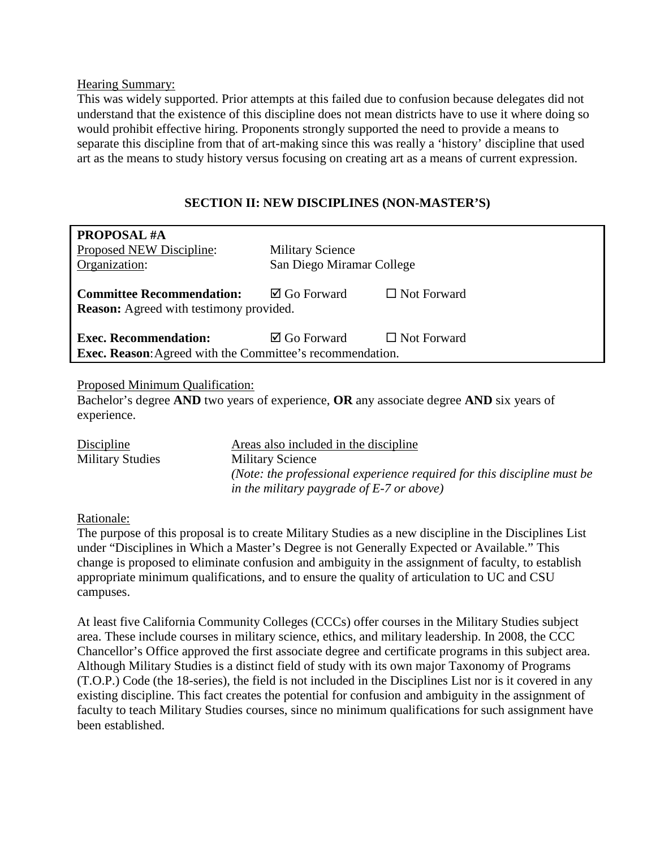This was widely supported. Prior attempts at this failed due to confusion because delegates did not understand that the existence of this discipline does not mean districts have to use it where doing so would prohibit effective hiring. Proponents strongly supported the need to provide a means to separate this discipline from that of art-making since this was really a 'history' discipline that used art as the means to study history versus focusing on creating art as a means of current expression.

# **SECTION II: NEW DISCIPLINES (NON-MASTER'S)**

| <b>PROPOSAL #A</b><br>Proposed NEW Discipline:<br>Organization:                                                                               | <b>Military Science</b><br>San Diego Miramar College |                    |
|-----------------------------------------------------------------------------------------------------------------------------------------------|------------------------------------------------------|--------------------|
| <b>Committee Recommendation:</b><br><b>Reason:</b> Agreed with testimony provided.                                                            | $\boxtimes$ Go Forward                               | $\Box$ Not Forward |
| $\boxtimes$ Go Forward $\Box$ Not Forward<br><b>Exec. Recommendation:</b><br><b>Exec. Reason:</b> Agreed with the Committee's recommendation. |                                                      |                    |

#### Proposed Minimum Qualification:

Bachelor's degree **AND** two years of experience, **OR** any associate degree **AND** six years of experience.

| <b>Discipline</b>       | Areas also included in the discipline                                   |  |
|-------------------------|-------------------------------------------------------------------------|--|
| <b>Military Studies</b> | <b>Military Science</b>                                                 |  |
|                         | (Note: the professional experience required for this discipline must be |  |
|                         | in the military paygrade of $E$ -7 or above)                            |  |

#### Rationale:

The purpose of this proposal is to create Military Studies as a new discipline in the Disciplines List under "Disciplines in Which a Master's Degree is not Generally Expected or Available." This change is proposed to eliminate confusion and ambiguity in the assignment of faculty, to establish appropriate minimum qualifications, and to ensure the quality of articulation to UC and CSU campuses.

At least five California Community Colleges (CCCs) offer courses in the Military Studies subject area. These include courses in military science, ethics, and military leadership. In 2008, the CCC Chancellor's Office approved the first associate degree and certificate programs in this subject area. Although Military Studies is a distinct field of study with its own major Taxonomy of Programs (T.O.P.) Code (the 18-series), the field is not included in the Disciplines List nor is it covered in any existing discipline. This fact creates the potential for confusion and ambiguity in the assignment of faculty to teach Military Studies courses, since no minimum qualifications for such assignment have been established.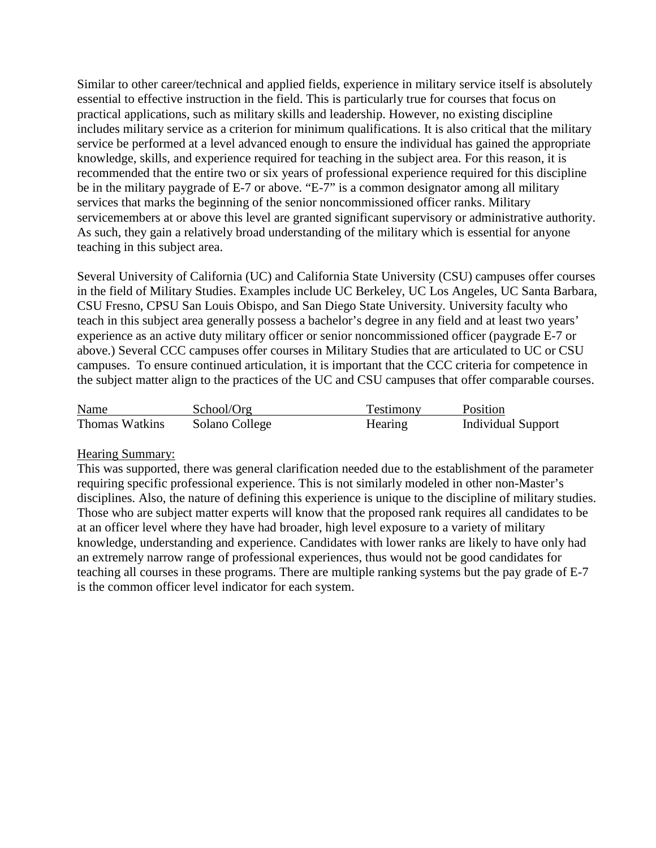Similar to other career/technical and applied fields, experience in military service itself is absolutely essential to effective instruction in the field. This is particularly true for courses that focus on practical applications, such as military skills and leadership. However, no existing discipline includes military service as a criterion for minimum qualifications. It is also critical that the military service be performed at a level advanced enough to ensure the individual has gained the appropriate knowledge, skills, and experience required for teaching in the subject area. For this reason, it is recommended that the entire two or six years of professional experience required for this discipline be in the military paygrade of E-7 or above. "E-7" is a common designator among all military services that marks the beginning of the senior noncommissioned officer ranks. Military servicemembers at or above this level are granted significant supervisory or administrative authority. As such, they gain a relatively broad understanding of the military which is essential for anyone teaching in this subject area.

Several University of California (UC) and California State University (CSU) campuses offer courses in the field of Military Studies. Examples include UC Berkeley, UC Los Angeles, UC Santa Barbara, CSU Fresno, CPSU San Louis Obispo, and San Diego State University. University faculty who teach in this subject area generally possess a bachelor's degree in any field and at least two years' experience as an active duty military officer or senior noncommissioned officer (paygrade E-7 or above.) Several CCC campuses offer courses in Military Studies that are articulated to UC or CSU campuses. To ensure continued articulation, it is important that the CCC criteria for competence in the subject matter align to the practices of the UC and CSU campuses that offer comparable courses.

| Name           | School/Org     | <b>Testimony</b> | Position                  |
|----------------|----------------|------------------|---------------------------|
| Thomas Watkins | Solano College | Hearing          | <b>Individual Support</b> |

#### Hearing Summary:

This was supported, there was general clarification needed due to the establishment of the parameter requiring specific professional experience. This is not similarly modeled in other non-Master's disciplines. Also, the nature of defining this experience is unique to the discipline of military studies. Those who are subject matter experts will know that the proposed rank requires all candidates to be at an officer level where they have had broader, high level exposure to a variety of military knowledge, understanding and experience. Candidates with lower ranks are likely to have only had an extremely narrow range of professional experiences, thus would not be good candidates for teaching all courses in these programs. There are multiple ranking systems but the pay grade of E-7 is the common officer level indicator for each system.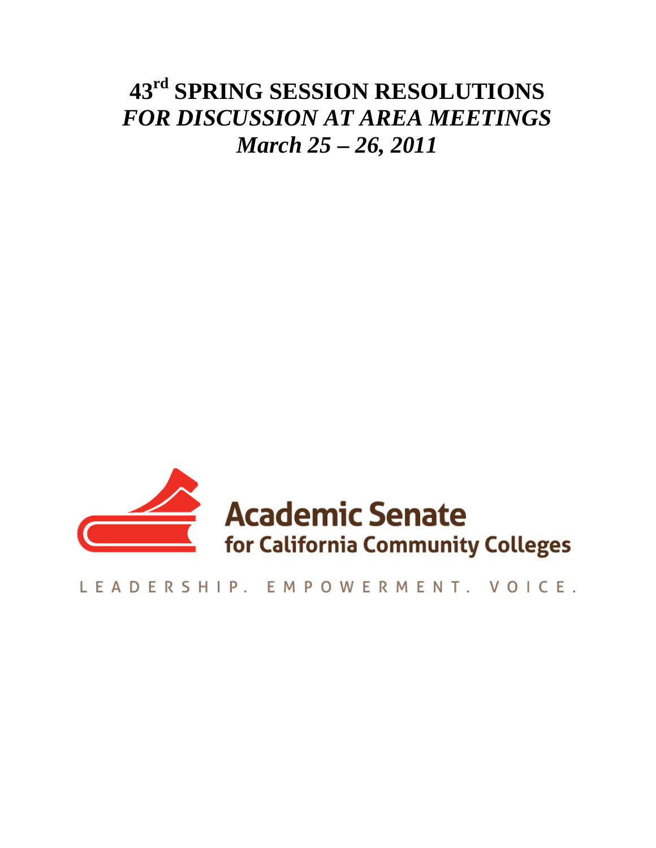# **43rd SPRING SESSION RESOLUTIONS** *FOR DISCUSSION AT AREA MEETINGS March 25 – 26, 2011*



# LEADERSHIP. EMPOWERMENT. VOICE.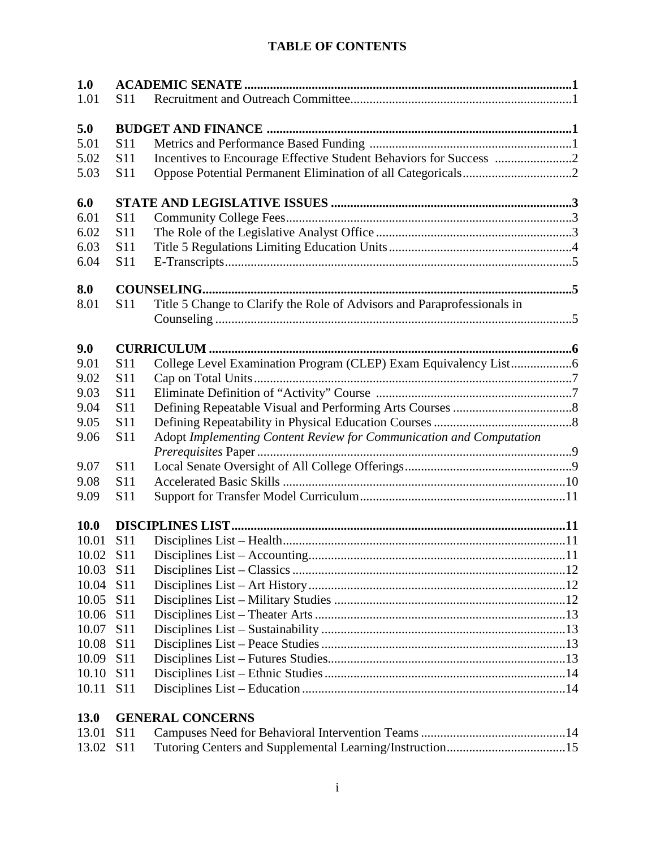# **TABLE OF CONTENTS**

| 1.0         |                 |                                                                         |  |
|-------------|-----------------|-------------------------------------------------------------------------|--|
| 1.01        | S <sub>11</sub> |                                                                         |  |
| 5.0         |                 |                                                                         |  |
| 5.01        | <b>S11</b>      |                                                                         |  |
| 5.02        | <b>S11</b>      | Incentives to Encourage Effective Student Behaviors for Success 2       |  |
| 5.03        | S <sub>11</sub> |                                                                         |  |
| 6.0         |                 |                                                                         |  |
| 6.01        | <b>S11</b>      |                                                                         |  |
| 6.02        | <b>S11</b>      |                                                                         |  |
| 6.03        | S11             |                                                                         |  |
| 6.04        | <b>S11</b>      |                                                                         |  |
| 8.0         |                 |                                                                         |  |
| 8.01        | <b>S</b> 11     | Title 5 Change to Clarify the Role of Advisors and Paraprofessionals in |  |
|             |                 |                                                                         |  |
| 9.0         |                 |                                                                         |  |
| 9.01        | <b>S11</b>      |                                                                         |  |
| 9.02        | <b>S11</b>      |                                                                         |  |
| 9.03        | <b>S11</b>      |                                                                         |  |
| 9.04        | <b>S11</b>      |                                                                         |  |
| 9.05        | <b>S11</b>      |                                                                         |  |
| 9.06        | S <sub>11</sub> | Adopt Implementing Content Review for Communication and Computation     |  |
| 9.07        | <b>S11</b>      |                                                                         |  |
| 9.08        | S <sub>11</sub> |                                                                         |  |
| 9.09        | S <sub>11</sub> |                                                                         |  |
|             |                 |                                                                         |  |
| <b>10.0</b> |                 |                                                                         |  |
| 10.01       | <b>S11</b>      |                                                                         |  |
| 10.02 S11   |                 |                                                                         |  |
| 10.03 S11   |                 |                                                                         |  |
| 10.04       | <b>S11</b>      |                                                                         |  |
| 10.05       | <b>S11</b>      |                                                                         |  |
| 10.06       | <b>S11</b>      |                                                                         |  |
| 10.07       | <b>S11</b>      |                                                                         |  |
| 10.08       | <b>S11</b>      |                                                                         |  |
| 10.09       | <b>S11</b>      |                                                                         |  |
| 10.10       | <b>S11</b>      |                                                                         |  |
| 10.11 S11   |                 |                                                                         |  |
|             |                 |                                                                         |  |

# **13.0 GENERAL CONCERNS**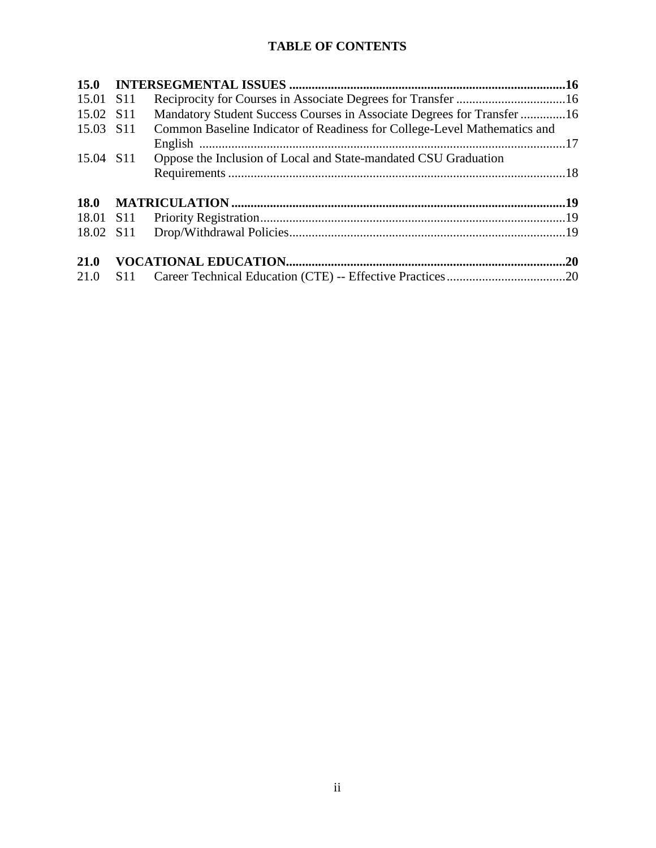# **TABLE OF CONTENTS**

| 15.01 S11 |                                                                          |  |
|-----------|--------------------------------------------------------------------------|--|
| 15.02 S11 | Mandatory Student Success Courses in Associate Degrees for Transfer 16   |  |
| 15.03 S11 | Common Baseline Indicator of Readiness for College-Level Mathematics and |  |
|           |                                                                          |  |
| 15.04 S11 | Oppose the Inclusion of Local and State-mandated CSU Graduation          |  |
|           |                                                                          |  |
|           |                                                                          |  |
|           |                                                                          |  |
|           |                                                                          |  |
| 21.0      |                                                                          |  |
| 21.0      |                                                                          |  |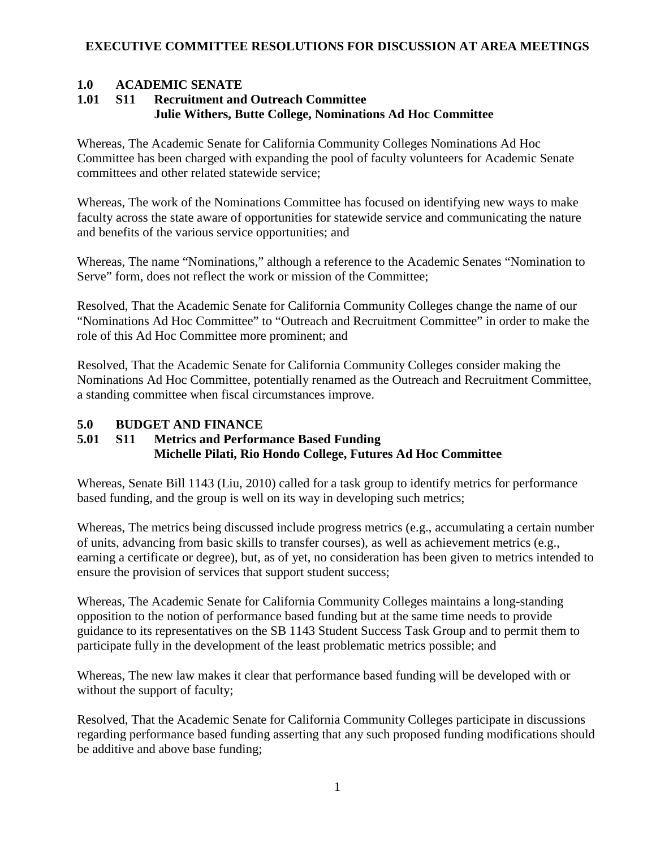# **1.0 ACADEMIC SENATE**

# **1.01 S11 Recruitment and Outreach Committee Julie Withers, Butte College, Nominations Ad Hoc Committee**

Whereas, The Academic Senate for California Community Colleges Nominations Ad Hoc Committee has been charged with expanding the pool of faculty volunteers for Academic Senate committees and other related statewide service;

Whereas, The work of the Nominations Committee has focused on identifying new ways to make faculty across the state aware of opportunities for statewide service and communicating the nature and benefits of the various service opportunities; and

Whereas, The name "Nominations," although a reference to the Academic Senates "Nomination to Serve" form, does not reflect the work or mission of the Committee;

Resolved, That the Academic Senate for California Community Colleges change the name of our "Nominations Ad Hoc Committee" to "Outreach and Recruitment Committee" in order to make the role of this Ad Hoc Committee more prominent; and

Resolved, That the Academic Senate for California Community Colleges consider making the Nominations Ad Hoc Committee, potentially renamed as the Outreach and Recruitment Committee, a standing committee when fiscal circumstances improve.

# **5.0 BUDGET AND FINANCE**

# **5.01 S11 Metrics and Performance Based Funding Michelle Pilati, Rio Hondo College, Futures Ad Hoc Committee**

Whereas, Senate Bill 1143 (Liu, 2010) called for a task group to identify metrics for performance based funding, and the group is well on its way in developing such metrics;

Whereas, The metrics being discussed include progress metrics (e.g., accumulating a certain number of units, advancing from basic skills to transfer courses), as well as achievement metrics (e.g., earning a certificate or degree), but, as of yet, no consideration has been given to metrics intended to ensure the provision of services that support student success;

Whereas, The Academic Senate for California Community Colleges maintains a long-standing opposition to the notion of performance based funding but at the same time needs to provide guidance to its representatives on the SB 1143 Student Success Task Group and to permit them to participate fully in the development of the least problematic metrics possible; and

Whereas, The new law makes it clear that performance based funding will be developed with or without the support of faculty;

Resolved, That the Academic Senate for California Community Colleges participate in discussions regarding performance based funding asserting that any such proposed funding modifications should be additive and above base funding;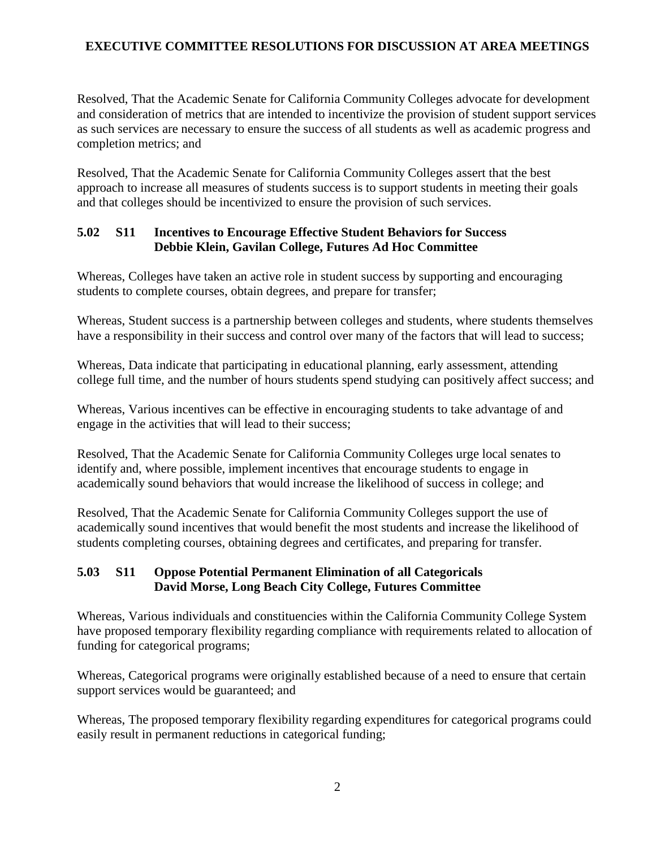Resolved, That the Academic Senate for California Community Colleges advocate for development and consideration of metrics that are intended to incentivize the provision of student support services as such services are necessary to ensure the success of all students as well as academic progress and completion metrics; and

Resolved, That the Academic Senate for California Community Colleges assert that the best approach to increase all measures of students success is to support students in meeting their goals and that colleges should be incentivized to ensure the provision of such services.

#### **5.02 S11 Incentives to Encourage Effective Student Behaviors for Success Debbie Klein, Gavilan College, Futures Ad Hoc Committee**

Whereas, Colleges have taken an active role in student success by supporting and encouraging students to complete courses, obtain degrees, and prepare for transfer;

Whereas, Student success is a partnership between colleges and students, where students themselves have a responsibility in their success and control over many of the factors that will lead to success;

Whereas, Data indicate that participating in educational planning, early assessment, attending college full time, and the number of hours students spend studying can positively affect success; and

Whereas, Various incentives can be effective in encouraging students to take advantage of and engage in the activities that will lead to their success;

Resolved, That the Academic Senate for California Community Colleges urge local senates to identify and, where possible, implement incentives that encourage students to engage in academically sound behaviors that would increase the likelihood of success in college; and

Resolved, That the Academic Senate for California Community Colleges support the use of academically sound incentives that would benefit the most students and increase the likelihood of students completing courses, obtaining degrees and certificates, and preparing for transfer.

# **5.03 S11 Oppose Potential Permanent Elimination of all Categoricals David Morse, Long Beach City College, Futures Committee**

Whereas, Various individuals and constituencies within the California Community College System have proposed temporary flexibility regarding compliance with requirements related to allocation of funding for categorical programs;

Whereas, Categorical programs were originally established because of a need to ensure that certain support services would be guaranteed; and

Whereas, The proposed temporary flexibility regarding expenditures for categorical programs could easily result in permanent reductions in categorical funding;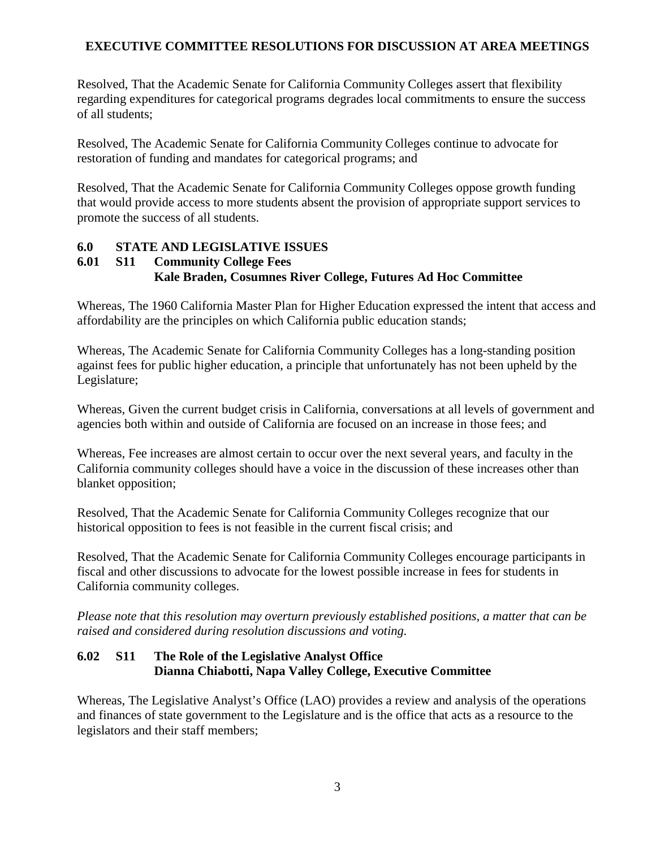Resolved, That the Academic Senate for California Community Colleges assert that flexibility regarding expenditures for categorical programs degrades local commitments to ensure the success of all students;

Resolved, The Academic Senate for California Community Colleges continue to advocate for restoration of funding and mandates for categorical programs; and

Resolved, That the Academic Senate for California Community Colleges oppose growth funding that would provide access to more students absent the provision of appropriate support services to promote the success of all students.

# **6.0 STATE AND LEGISLATIVE ISSUES**

# **6.01 S11 Community College Fees Kale Braden, Cosumnes River College, Futures Ad Hoc Committee**

Whereas, The 1960 California Master Plan for Higher Education expressed the intent that access and affordability are the principles on which California public education stands;

Whereas, The Academic Senate for California Community Colleges has a long-standing position against fees for public higher education, a principle that unfortunately has not been upheld by the Legislature;

Whereas, Given the current budget crisis in California, conversations at all levels of government and agencies both within and outside of California are focused on an increase in those fees; and

Whereas, Fee increases are almost certain to occur over the next several years, and faculty in the California community colleges should have a voice in the discussion of these increases other than blanket opposition;

Resolved, That the Academic Senate for California Community Colleges recognize that our historical opposition to fees is not feasible in the current fiscal crisis; and

Resolved, That the Academic Senate for California Community Colleges encourage participants in fiscal and other discussions to advocate for the lowest possible increase in fees for students in California community colleges.

*Please note that this resolution may overturn previously established positions, a matter that can be raised and considered during resolution discussions and voting.* 

# **6.02 S11 The Role of the Legislative Analyst Office Dianna Chiabotti, Napa Valley College, Executive Committee**

Whereas, The Legislative Analyst's Office (LAO) provides a review and analysis of the operations and finances of state government to the Legislature and is the office that acts as a resource to the legislators and their staff members;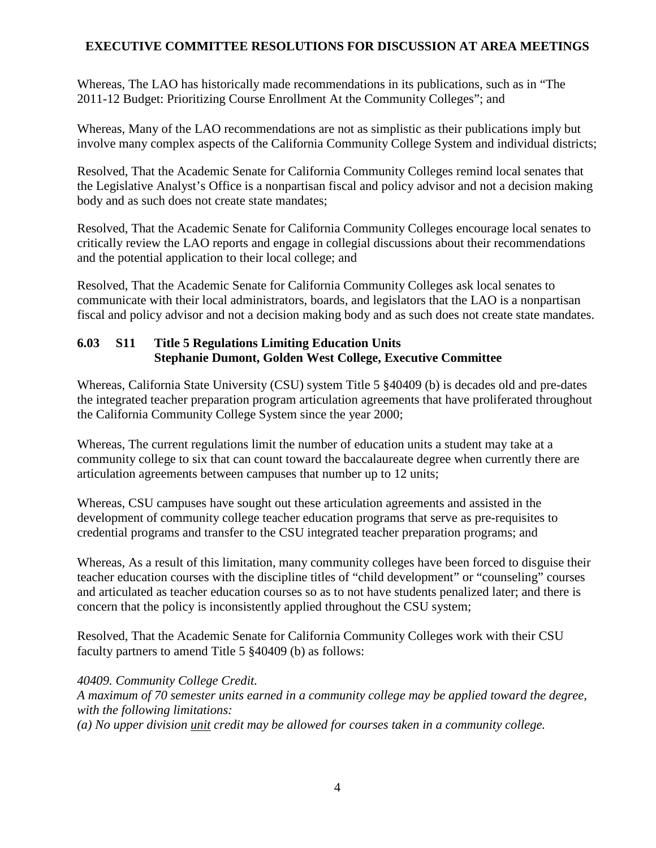Whereas, The LAO has historically made recommendations in its publications, such as in "The 2011-12 Budget: Prioritizing Course Enrollment At the Community Colleges"; and

Whereas, Many of the LAO recommendations are not as simplistic as their publications imply but involve many complex aspects of the California Community College System and individual districts;

Resolved, That the Academic Senate for California Community Colleges remind local senates that the Legislative Analyst's Office is a nonpartisan fiscal and policy advisor and not a decision making body and as such does not create state mandates;

Resolved, That the Academic Senate for California Community Colleges encourage local senates to critically review the LAO reports and engage in collegial discussions about their recommendations and the potential application to their local college; and

Resolved, That the Academic Senate for California Community Colleges ask local senates to communicate with their local administrators, boards, and legislators that the LAO is a nonpartisan fiscal and policy advisor and not a decision making body and as such does not create state mandates.

# **6.03 S11 Title 5 Regulations Limiting Education Units Stephanie Dumont, Golden West College, Executive Committee**

Whereas, California State University (CSU) system Title 5 §40409 (b) is decades old and pre-dates the integrated teacher preparation program articulation agreements that have proliferated throughout the California Community College System since the year 2000;

Whereas, The current regulations limit the number of education units a student may take at a community college to six that can count toward the baccalaureate degree when currently there are articulation agreements between campuses that number up to 12 units;

Whereas, CSU campuses have sought out these articulation agreements and assisted in the development of community college teacher education programs that serve as pre-requisites to credential programs and transfer to the CSU integrated teacher preparation programs; and

Whereas, As a result of this limitation, many community colleges have been forced to disguise their teacher education courses with the discipline titles of "child development" or "counseling" courses and articulated as teacher education courses so as to not have students penalized later; and there is concern that the policy is inconsistently applied throughout the CSU system;

Resolved, That the Academic Senate for California Community Colleges work with their CSU faculty partners to amend Title 5 §40409 (b) as follows:

*40409. Community College Credit. A maximum of 70 semester units earned in a community college may be applied toward the degree, with the following limitations: (a) No upper division unit credit may be allowed for courses taken in a community college.*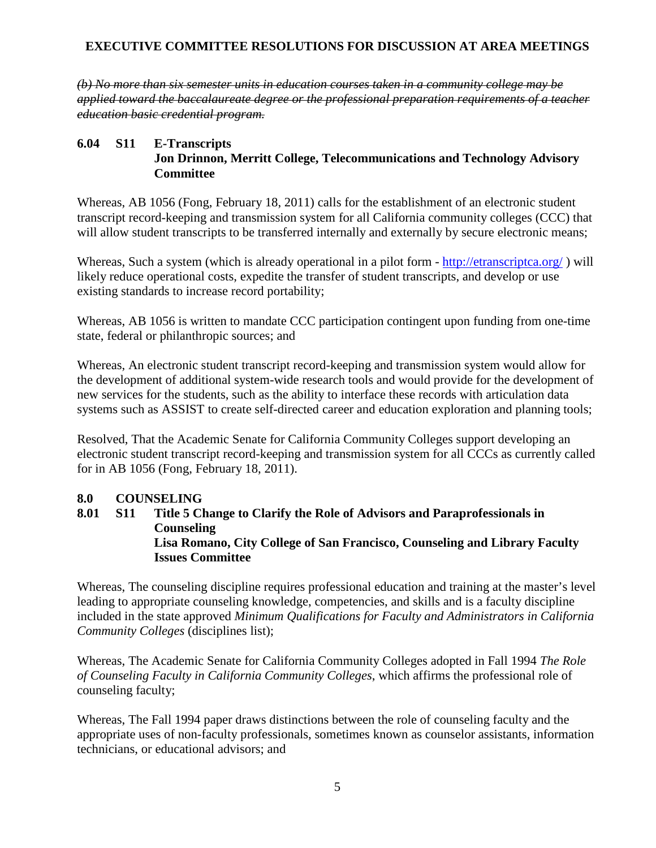*(b) No more than six semester units in education courses taken in a community college may be applied toward the baccalaureate degree or the professional preparation requirements of a teacher education basic credential program.*

# **6.04 S11 E-Transcripts Jon Drinnon, Merritt College, Telecommunications and Technology Advisory Committee**

Whereas, AB 1056 (Fong, February 18, 2011) calls for the establishment of an electronic student transcript record-keeping and transmission system for all California community colleges (CCC) that will allow student transcripts to be transferred internally and externally by secure electronic means;

Whereas, Such a system (which is already operational in a pilot form - <http://etranscriptca.org/> ) will likely reduce operational costs, expedite the transfer of student transcripts, and develop or use existing standards to increase record portability;

Whereas, AB 1056 is written to mandate CCC participation contingent upon funding from one-time state, federal or philanthropic sources; and

Whereas, An electronic student transcript record-keeping and transmission system would allow for the development of additional system-wide research tools and would provide for the development of new services for the students, such as the ability to interface these records with articulation data systems such as ASSIST to create self-directed career and education exploration and planning tools;

Resolved, That the Academic Senate for California Community Colleges support developing an electronic student transcript record-keeping and transmission system for all CCCs as currently called for in AB 1056 (Fong, February 18, 2011).

# **8.0 COUNSELING**

# **8.01 S11 Title 5 Change to Clarify the Role of Advisors and Paraprofessionals in Counseling Lisa Romano, City College of San Francisco, Counseling and Library Faculty Issues Committee**

Whereas, The counseling discipline requires professional education and training at the master's level leading to appropriate counseling knowledge, competencies, and skills and is a faculty discipline included in the state approved *Minimum Qualifications for Faculty and Administrators in California Community Colleges* (disciplines list);

Whereas, The Academic Senate for California Community Colleges adopted in Fall 1994 *The Role of Counseling Faculty in California Community Colleges*, which affirms the professional role of counseling faculty;

Whereas, The Fall 1994 paper draws distinctions between the role of counseling faculty and the appropriate uses of non-faculty professionals, sometimes known as counselor assistants, information technicians, or educational advisors; and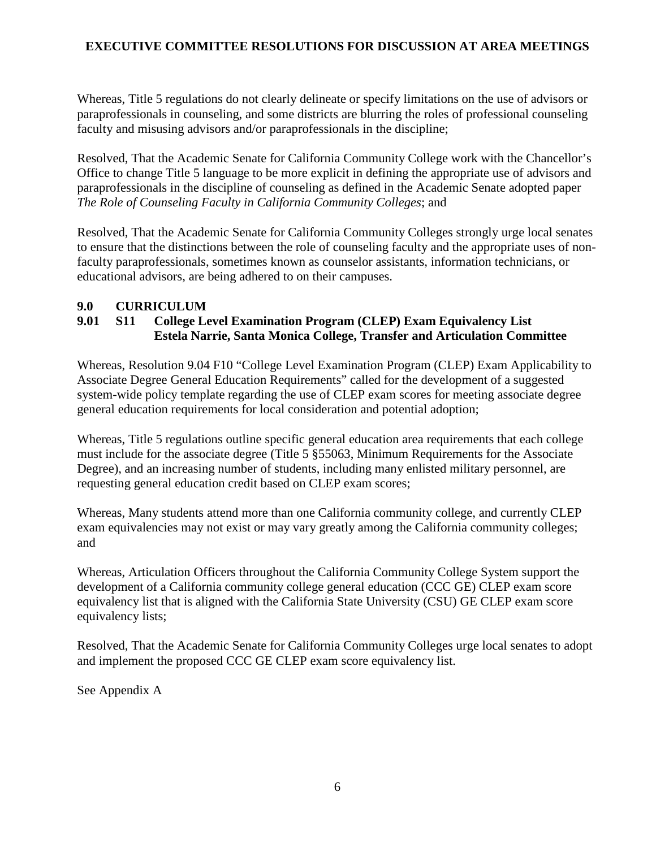Whereas, Title 5 regulations do not clearly delineate or specify limitations on the use of advisors or paraprofessionals in counseling, and some districts are blurring the roles of professional counseling faculty and misusing advisors and/or paraprofessionals in the discipline;

Resolved, That the Academic Senate for California Community College work with the Chancellor's Office to change Title 5 language to be more explicit in defining the appropriate use of advisors and paraprofessionals in the discipline of counseling as defined in the Academic Senate adopted paper *The Role of Counseling Faculty in California Community Colleges*; and

Resolved, That the Academic Senate for California Community Colleges strongly urge local senates to ensure that the distinctions between the role of counseling faculty and the appropriate uses of nonfaculty paraprofessionals, sometimes known as counselor assistants, information technicians, or educational advisors, are being adhered to on their campuses.

#### **9.0 CURRICULUM**

# **9.01 S11 College Level Examination Program (CLEP) Exam Equivalency List Estela Narrie, Santa Monica College, Transfer and Articulation Committee**

Whereas, Resolution 9.04 F10 "College Level Examination Program (CLEP) Exam Applicability to Associate Degree General Education Requirements" called for the development of a suggested system-wide policy template regarding the use of CLEP exam scores for meeting associate degree general education requirements for local consideration and potential adoption;

Whereas, Title 5 regulations outline specific general education area requirements that each college must include for the associate degree (Title 5 §55063, Minimum Requirements for the Associate Degree), and an increasing number of students, including many enlisted military personnel, are requesting general education credit based on CLEP exam scores;

Whereas, Many students attend more than one California community college, and currently CLEP exam equivalencies may not exist or may vary greatly among the California community colleges; and

Whereas, Articulation Officers throughout the California Community College System support the development of a California community college general education (CCC GE) CLEP exam score equivalency list that is aligned with the California State University (CSU) GE CLEP exam score equivalency lists;

Resolved, That the Academic Senate for California Community Colleges urge local senates to adopt and implement the proposed CCC GE CLEP exam score equivalency list.

See Appendix A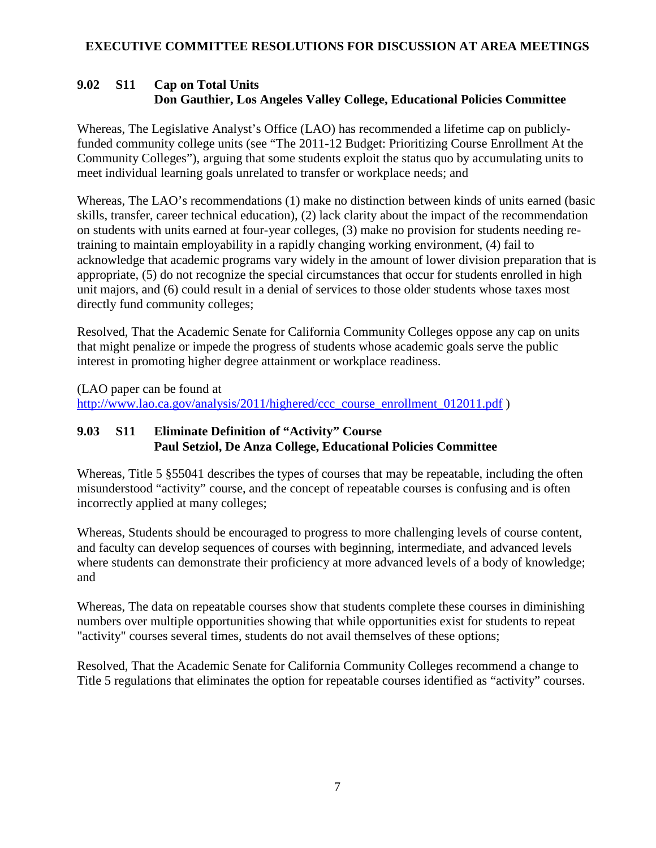# **9.02 S11 Cap on Total Units Don Gauthier, Los Angeles Valley College, Educational Policies Committee**

Whereas, The Legislative Analyst's Office (LAO) has recommended a lifetime cap on publiclyfunded community college units (see "The 2011-12 Budget: Prioritizing Course Enrollment At the Community Colleges"), arguing that some students exploit the status quo by accumulating units to meet individual learning goals unrelated to transfer or workplace needs; and

Whereas, The LAO's recommendations (1) make no distinction between kinds of units earned (basic skills, transfer, career technical education), (2) lack clarity about the impact of the recommendation on students with units earned at four-year colleges, (3) make no provision for students needing retraining to maintain employability in a rapidly changing working environment, (4) fail to acknowledge that academic programs vary widely in the amount of lower division preparation that is appropriate, (5) do not recognize the special circumstances that occur for students enrolled in high unit majors, and (6) could result in a denial of services to those older students whose taxes most directly fund community colleges;

Resolved, That the Academic Senate for California Community Colleges oppose any cap on units that might penalize or impede the progress of students whose academic goals serve the public interest in promoting higher degree attainment or workplace readiness.

(LAO paper can be found at [http://www.lao.ca.gov/analysis/2011/highered/ccc\\_course\\_enrollment\\_012011.pdf](http://www.lao.ca.gov/analysis/2011/highered/ccc_course_enrollment_012011.pdf) )

# **9.03 S11 Eliminate Definition of "Activity" Course Paul Setziol, De Anza College, Educational Policies Committee**

Whereas, Title 5 §55041 describes the types of courses that may be repeatable, including the often misunderstood "activity" course, and the concept of repeatable courses is confusing and is often incorrectly applied at many colleges;

Whereas, Students should be encouraged to progress to more challenging levels of course content, and faculty can develop sequences of courses with beginning, intermediate, and advanced levels where students can demonstrate their proficiency at more advanced levels of a body of knowledge; and

Whereas, The data on repeatable courses show that students complete these courses in diminishing numbers over multiple opportunities showing that while opportunities exist for students to repeat "activity" courses several times, students do not avail themselves of these options;

Resolved, That the Academic Senate for California Community Colleges recommend a change to Title 5 regulations that eliminates the option for repeatable courses identified as "activity" courses.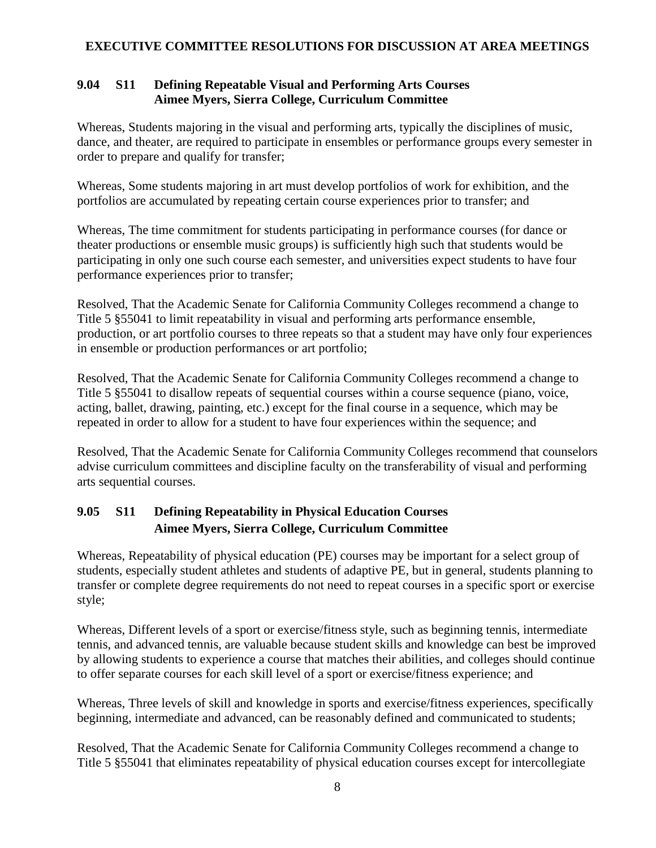# **9.04 S11 Defining Repeatable Visual and Performing Arts Courses Aimee Myers, Sierra College, Curriculum Committee**

Whereas, Students majoring in the visual and performing arts, typically the disciplines of music, dance, and theater, are required to participate in ensembles or performance groups every semester in order to prepare and qualify for transfer;

Whereas, Some students majoring in art must develop portfolios of work for exhibition, and the portfolios are accumulated by repeating certain course experiences prior to transfer; and

Whereas, The time commitment for students participating in performance courses (for dance or theater productions or ensemble music groups) is sufficiently high such that students would be participating in only one such course each semester, and universities expect students to have four performance experiences prior to transfer;

Resolved, That the Academic Senate for California Community Colleges recommend a change to Title 5 §55041 to limit repeatability in visual and performing arts performance ensemble, production, or art portfolio courses to three repeats so that a student may have only four experiences in ensemble or production performances or art portfolio;

Resolved, That the Academic Senate for California Community Colleges recommend a change to Title 5 §55041 to disallow repeats of sequential courses within a course sequence (piano, voice, acting, ballet, drawing, painting, etc.) except for the final course in a sequence, which may be repeated in order to allow for a student to have four experiences within the sequence; and

Resolved, That the Academic Senate for California Community Colleges recommend that counselors advise curriculum committees and discipline faculty on the transferability of visual and performing arts sequential courses.

# **9.05 S11 Defining Repeatability in Physical Education Courses Aimee Myers, Sierra College, Curriculum Committee**

Whereas, Repeatability of physical education (PE) courses may be important for a select group of students, especially student athletes and students of adaptive PE, but in general, students planning to transfer or complete degree requirements do not need to repeat courses in a specific sport or exercise style;

Whereas, Different levels of a sport or exercise/fitness style, such as beginning tennis, intermediate tennis, and advanced tennis, are valuable because student skills and knowledge can best be improved by allowing students to experience a course that matches their abilities, and colleges should continue to offer separate courses for each skill level of a sport or exercise/fitness experience; and

Whereas, Three levels of skill and knowledge in sports and exercise/fitness experiences, specifically beginning, intermediate and advanced, can be reasonably defined and communicated to students;

Resolved, That the Academic Senate for California Community Colleges recommend a change to Title 5 §55041 that eliminates repeatability of physical education courses except for intercollegiate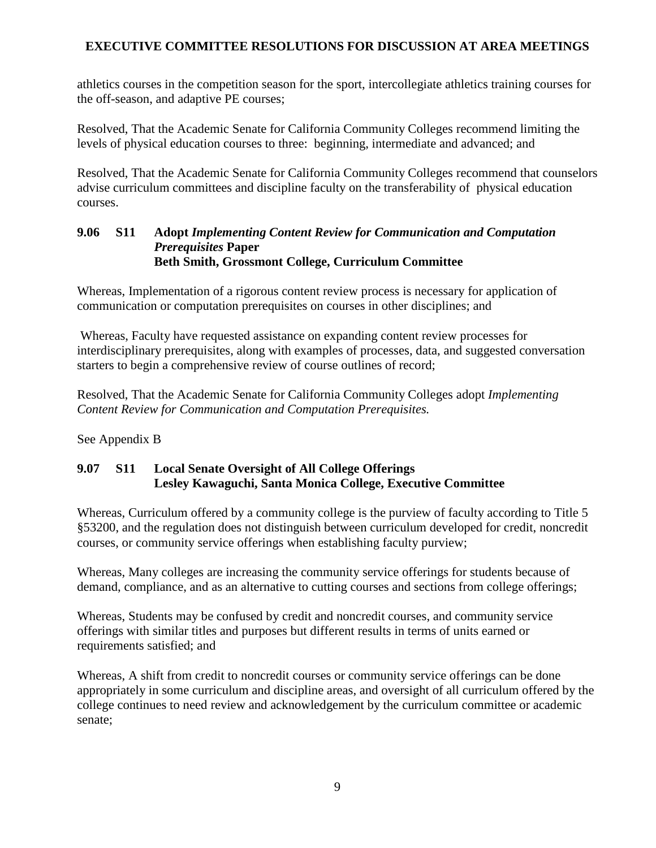athletics courses in the competition season for the sport, intercollegiate athletics training courses for the off-season, and adaptive PE courses;

Resolved, That the Academic Senate for California Community Colleges recommend limiting the levels of physical education courses to three: beginning, intermediate and advanced; and

Resolved, That the Academic Senate for California Community Colleges recommend that counselors advise curriculum committees and discipline faculty on the transferability of physical education courses.

#### **9.06 S11 Adopt** *Implementing Content Review for Communication and Computation Prerequisites* **Paper Beth Smith, Grossmont College, Curriculum Committee**

Whereas, Implementation of a rigorous content review process is necessary for application of communication or computation prerequisites on courses in other disciplines; and

Whereas, Faculty have requested assistance on expanding content review processes for interdisciplinary prerequisites, along with examples of processes, data, and suggested conversation starters to begin a comprehensive review of course outlines of record;

Resolved, That the Academic Senate for California Community Colleges adopt *Implementing Content Review for Communication and Computation Prerequisites.*

See Appendix B

# **9.07 S11 Local Senate Oversight of All College Offerings Lesley Kawaguchi, Santa Monica College, Executive Committee**

Whereas, Curriculum offered by a community college is the purview of faculty according to Title 5 §53200, and the regulation does not distinguish between curriculum developed for credit, noncredit courses, or community service offerings when establishing faculty purview;

Whereas, Many colleges are increasing the community service offerings for students because of demand, compliance, and as an alternative to cutting courses and sections from college offerings;

Whereas, Students may be confused by credit and noncredit courses, and community service offerings with similar titles and purposes but different results in terms of units earned or requirements satisfied; and

Whereas, A shift from credit to noncredit courses or community service offerings can be done appropriately in some curriculum and discipline areas, and oversight of all curriculum offered by the college continues to need review and acknowledgement by the curriculum committee or academic senate;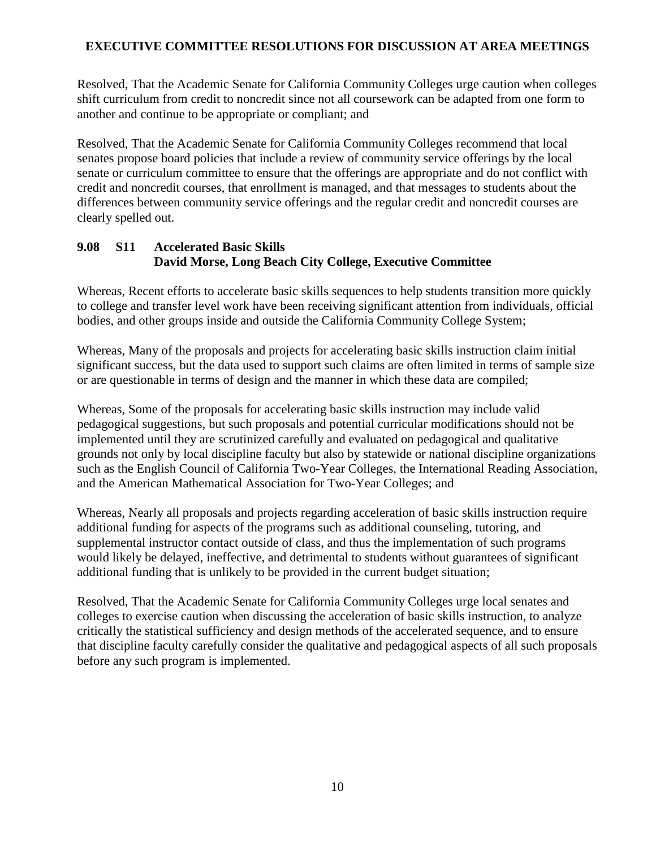Resolved, That the Academic Senate for California Community Colleges urge caution when colleges shift curriculum from credit to noncredit since not all coursework can be adapted from one form to another and continue to be appropriate or compliant; and

Resolved, That the Academic Senate for California Community Colleges recommend that local senates propose board policies that include a review of community service offerings by the local senate or curriculum committee to ensure that the offerings are appropriate and do not conflict with credit and noncredit courses, that enrollment is managed, and that messages to students about the differences between community service offerings and the regular credit and noncredit courses are clearly spelled out.

# **9.08 S11 Accelerated Basic Skills David Morse, Long Beach City College, Executive Committee**

Whereas, Recent efforts to accelerate basic skills sequences to help students transition more quickly to college and transfer level work have been receiving significant attention from individuals, official bodies, and other groups inside and outside the California Community College System;

Whereas, Many of the proposals and projects for accelerating basic skills instruction claim initial significant success, but the data used to support such claims are often limited in terms of sample size or are questionable in terms of design and the manner in which these data are compiled;

Whereas, Some of the proposals for accelerating basic skills instruction may include valid pedagogical suggestions, but such proposals and potential curricular modifications should not be implemented until they are scrutinized carefully and evaluated on pedagogical and qualitative grounds not only by local discipline faculty but also by statewide or national discipline organizations such as the English Council of California Two-Year Colleges, the International Reading Association, and the American Mathematical Association for Two-Year Colleges; and

Whereas, Nearly all proposals and projects regarding acceleration of basic skills instruction require additional funding for aspects of the programs such as additional counseling, tutoring, and supplemental instructor contact outside of class, and thus the implementation of such programs would likely be delayed, ineffective, and detrimental to students without guarantees of significant additional funding that is unlikely to be provided in the current budget situation;

Resolved, That the Academic Senate for California Community Colleges urge local senates and colleges to exercise caution when discussing the acceleration of basic skills instruction, to analyze critically the statistical sufficiency and design methods of the accelerated sequence, and to ensure that discipline faculty carefully consider the qualitative and pedagogical aspects of all such proposals before any such program is implemented.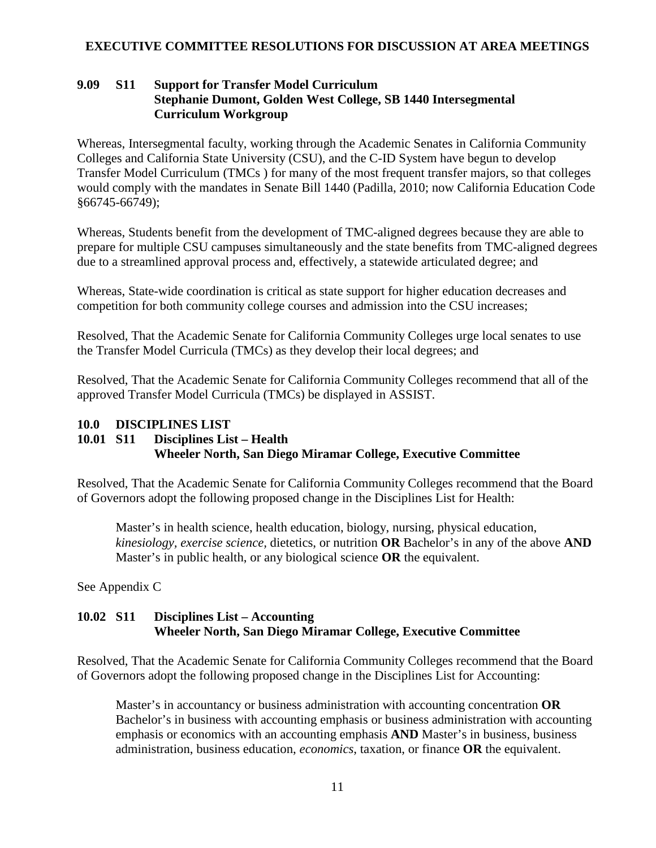#### **9.09 S11 Support for Transfer Model Curriculum Stephanie Dumont, Golden West College, SB 1440 Intersegmental Curriculum Workgroup**

Whereas, Intersegmental faculty, working through the Academic Senates in California Community Colleges and California State University (CSU), and the C-ID System have begun to develop Transfer Model Curriculum (TMCs ) for many of the most frequent transfer majors, so that colleges would comply with the mandates in Senate Bill 1440 (Padilla, 2010; now California Education Code §66745-66749);

Whereas, Students benefit from the development of TMC-aligned degrees because they are able to prepare for multiple CSU campuses simultaneously and the state benefits from TMC-aligned degrees due to a streamlined approval process and, effectively, a statewide articulated degree; and

Whereas, State-wide coordination is critical as state support for higher education decreases and competition for both community college courses and admission into the CSU increases;

Resolved, That the Academic Senate for California Community Colleges urge local senates to use the Transfer Model Curricula (TMCs) as they develop their local degrees; and

Resolved, That the Academic Senate for California Community Colleges recommend that all of the approved Transfer Model Curricula (TMCs) be displayed in ASSIST.

#### **10.0 DISCIPLINES LIST**

# **10.01 S11 Disciplines List – Health Wheeler North, San Diego Miramar College, Executive Committee**

Resolved, That the Academic Senate for California Community Colleges recommend that the Board of Governors adopt the following proposed change in the Disciplines List for Health:

Master's in health science, health education, biology, nursing, physical education, *kinesiology, exercise science,* dietetics, or nutrition **OR** Bachelor's in any of the above **AND**  Master's in public health, or any biological science **OR** the equivalent.

See Appendix C

# **10.02 S11 Disciplines List – Accounting Wheeler North, San Diego Miramar College, Executive Committee**

Resolved, That the Academic Senate for California Community Colleges recommend that the Board of Governors adopt the following proposed change in the Disciplines List for Accounting:

Master's in accountancy or business administration with accounting concentration **OR**  Bachelor's in business with accounting emphasis or business administration with accounting emphasis or economics with an accounting emphasis **AND** Master's in business, business administration, business education, *economics*, taxation, or finance **OR** the equivalent.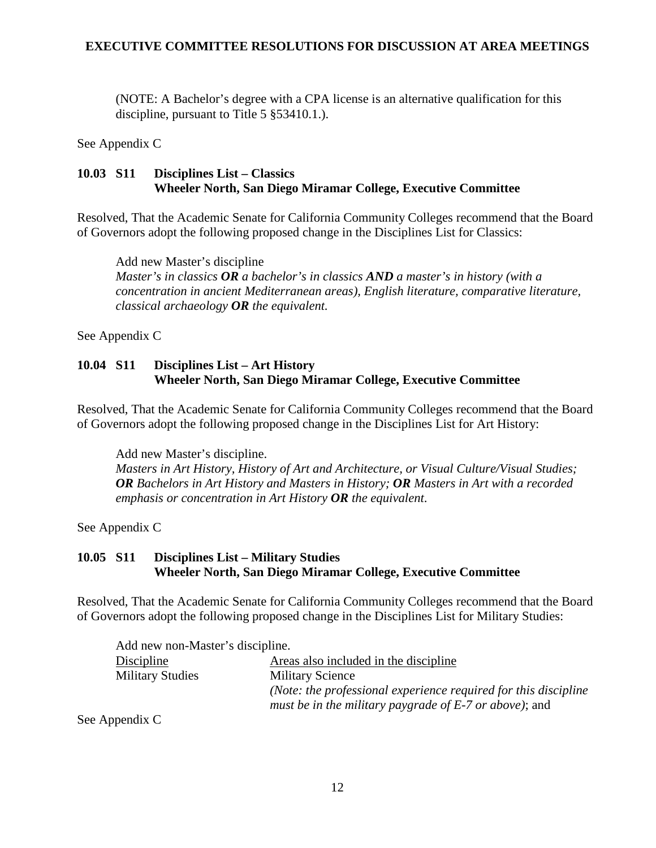(NOTE: A Bachelor's degree with a CPA license is an alternative qualification for this discipline, pursuant to Title 5 §53410.1.).

See Appendix C

# **10.03 S11 Disciplines List – Classics Wheeler North, San Diego Miramar College, Executive Committee**

Resolved, That the Academic Senate for California Community Colleges recommend that the Board of Governors adopt the following proposed change in the Disciplines List for Classics:

Add new Master's discipline *Master's in classics OR a bachelor's in classics AND a master's in history (with a concentration in ancient Mediterranean areas), English literature, comparative literature, classical archaeology OR the equivalent.*

See Appendix C

# **10.04 S11 Disciplines List – Art History Wheeler North, San Diego Miramar College, Executive Committee**

Resolved, That the Academic Senate for California Community Colleges recommend that the Board of Governors adopt the following proposed change in the Disciplines List for Art History:

Add new Master's discipline. *Masters in Art History, History of Art and Architecture, or Visual Culture/Visual Studies; OR Bachelors in Art History and Masters in History; OR Masters in Art with a recorded emphasis or concentration in Art History OR the equivalent*.

See Appendix C

# **10.05 S11 Disciplines List – Military Studies Wheeler North, San Diego Miramar College, Executive Committee**

Resolved, That the Academic Senate for California Community Colleges recommend that the Board of Governors adopt the following proposed change in the Disciplines List for Military Studies:

| Add new non-Master's discipline. |                                                                                                                               |
|----------------------------------|-------------------------------------------------------------------------------------------------------------------------------|
| Discipline                       | Areas also included in the discipline                                                                                         |
| <b>Military Studies</b>          | <b>Military Science</b>                                                                                                       |
|                                  | (Note: the professional experience required for this discipline)<br>must be in the military paygrade of $E$ -7 or above); and |
| $\cdots$                         |                                                                                                                               |

See Appendix C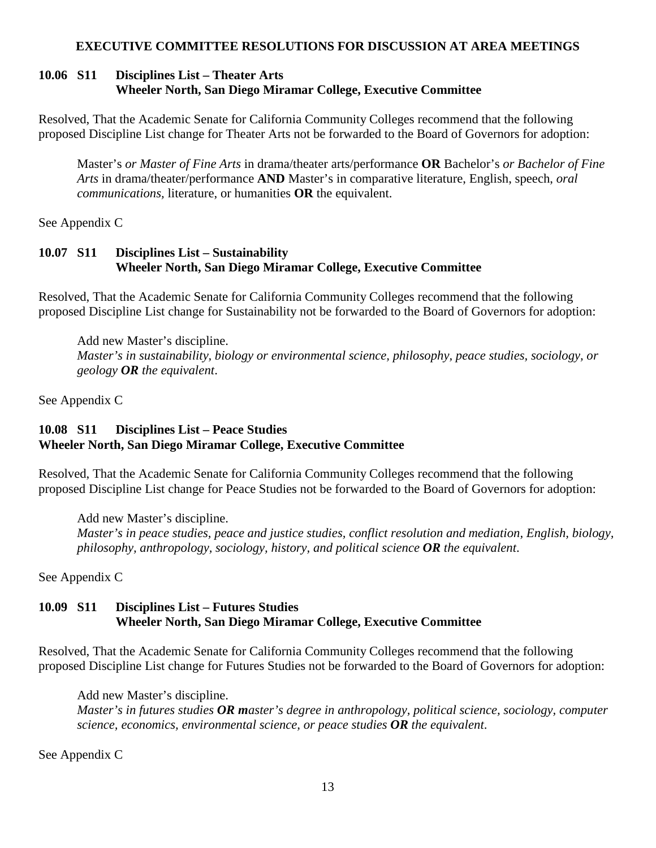#### **10.06 S11 Disciplines List – Theater Arts Wheeler North, San Diego Miramar College, Executive Committee**

Resolved, That the Academic Senate for California Community Colleges recommend that the following proposed Discipline List change for Theater Arts not be forwarded to the Board of Governors for adoption:

Master's *or Master of Fine Arts* in drama/theater arts/performance **OR** Bachelor's *or Bachelor of Fine Arts* in drama/theater/performance **AND** Master's in comparative literature, English, speech, *oral communications,* literature, or humanities **OR** the equivalent.

See Appendix C

# **10.07 S11 Disciplines List – Sustainability Wheeler North, San Diego Miramar College, Executive Committee**

Resolved, That the Academic Senate for California Community Colleges recommend that the following proposed Discipline List change for Sustainability not be forwarded to the Board of Governors for adoption:

Add new Master's discipline. *Master's in sustainability, biology or environmental science, philosophy, peace studies, sociology, or geology OR the equivalent*.

See Appendix C

# **10.08 S11 Disciplines List – Peace Studies Wheeler North, San Diego Miramar College, Executive Committee**

Resolved, That the Academic Senate for California Community Colleges recommend that the following proposed Discipline List change for Peace Studies not be forwarded to the Board of Governors for adoption:

Add new Master's discipline. *Master's in peace studies, peace and justice studies, conflict resolution and mediation, English, biology, philosophy, anthropology, sociology, history, and political science OR the equivalent*.

See Appendix C

# **10.09 S11 Disciplines List – Futures Studies Wheeler North, San Diego Miramar College, Executive Committee**

Resolved, That the Academic Senate for California Community Colleges recommend that the following proposed Discipline List change for Futures Studies not be forwarded to the Board of Governors for adoption:

Add new Master's discipline.

*Master's in futures studies OR master's degree in anthropology, political science, sociology, computer science, economics, environmental science, or peace studies OR the equivalent*.

See Appendix C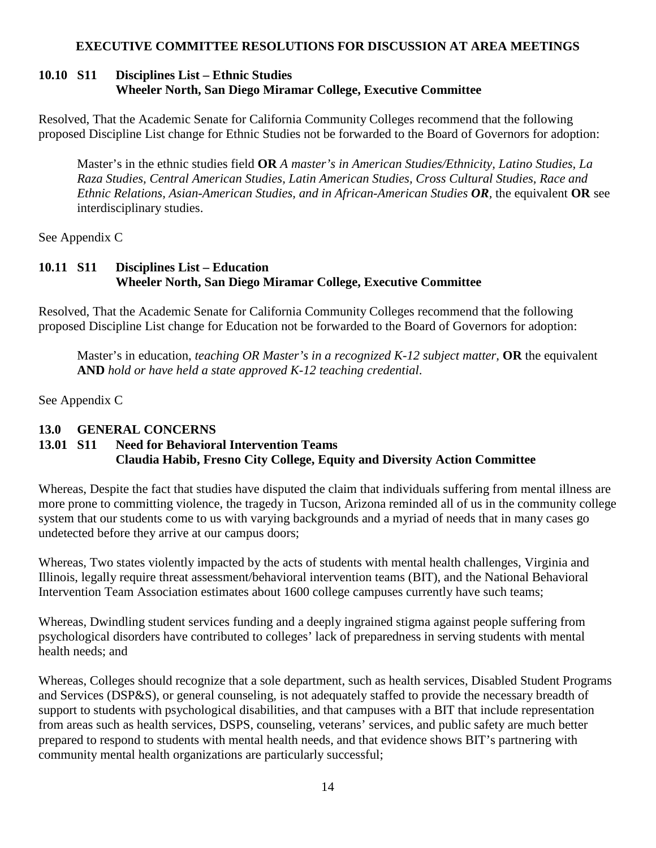#### **10.10 S11 Disciplines List – Ethnic Studies Wheeler North, San Diego Miramar College, Executive Committee**

Resolved, That the Academic Senate for California Community Colleges recommend that the following proposed Discipline List change for Ethnic Studies not be forwarded to the Board of Governors for adoption:

Master's in the ethnic studies field **OR** *A master's in American Studies/Ethnicity, Latino Studies, La Raza Studies, Central American Studies, Latin American Studies, Cross Cultural Studies, Race and Ethnic Relations, Asian-American Studies, and in African-American Studies OR,* the equivalent **OR** see interdisciplinary studies.

See Appendix C

# **10.11 S11 Disciplines List – Education Wheeler North, San Diego Miramar College, Executive Committee**

Resolved, That the Academic Senate for California Community Colleges recommend that the following proposed Discipline List change for Education not be forwarded to the Board of Governors for adoption:

Master's in education, *teaching OR Master's in a recognized K-12 subject matter,* **OR** the equivalent **AND** *hold or have held a state approved K-12 teaching credential*.

See Appendix C

# **13.0 GENERAL CONCERNS**

# **13.01 S11 Need for Behavioral Intervention Teams Claudia Habib, Fresno City College, Equity and Diversity Action Committee**

Whereas, Despite the fact that studies have disputed the claim that individuals suffering from mental illness are more prone to committing violence, the tragedy in Tucson, Arizona reminded all of us in the community college system that our students come to us with varying backgrounds and a myriad of needs that in many cases go undetected before they arrive at our campus doors;

Whereas, Two states violently impacted by the acts of students with mental health challenges, Virginia and Illinois, legally require threat assessment/behavioral intervention teams (BIT), and the National Behavioral Intervention Team Association estimates about 1600 college campuses currently have such teams;

Whereas, Dwindling student services funding and a deeply ingrained stigma against people suffering from psychological disorders have contributed to colleges' lack of preparedness in serving students with mental health needs; and

Whereas, Colleges should recognize that a sole department, such as health services, Disabled Student Programs and Services (DSP&S), or general counseling, is not adequately staffed to provide the necessary breadth of support to students with psychological disabilities, and that campuses with a BIT that include representation from areas such as health services, DSPS, counseling, veterans' services, and public safety are much better prepared to respond to students with mental health needs, and that evidence shows BIT's partnering with community mental health organizations are particularly successful;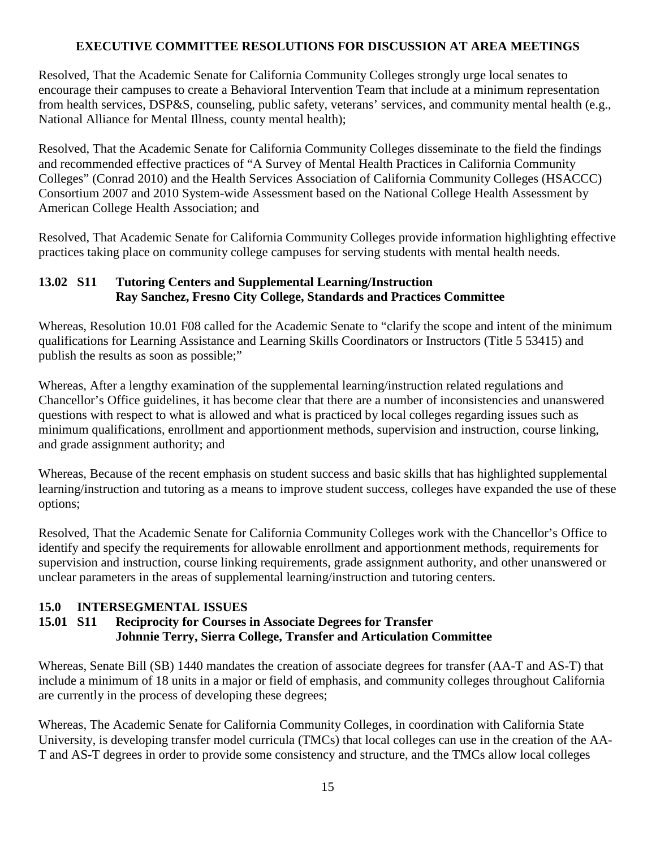Resolved, That the Academic Senate for California Community Colleges strongly urge local senates to encourage their campuses to create a Behavioral Intervention Team that include at a minimum representation from health services, DSP&S, counseling, public safety, veterans' services, and community mental health (e.g., National Alliance for Mental Illness, county mental health);

Resolved, That the Academic Senate for California Community Colleges disseminate to the field the findings and recommended effective practices of "A Survey of Mental Health Practices in California Community Colleges" (Conrad 2010) and the Health Services Association of California Community Colleges (HSACCC) Consortium 2007 and 2010 System-wide Assessment based on the National College Health Assessment by American College Health Association; and

Resolved, That Academic Senate for California Community Colleges provide information highlighting effective practices taking place on community college campuses for serving students with mental health needs.

#### **13.02 S11 Tutoring Centers and Supplemental Learning/Instruction Ray Sanchez, Fresno City College, Standards and Practices Committee**

Whereas, Resolution 10.01 F08 called for the Academic Senate to "clarify the scope and intent of the minimum qualifications for Learning Assistance and Learning Skills Coordinators or Instructors (Title 5 53415) and publish the results as soon as possible;"

Whereas, After a lengthy examination of the supplemental learning/instruction related regulations and Chancellor's Office guidelines, it has become clear that there are a number of inconsistencies and unanswered questions with respect to what is allowed and what is practiced by local colleges regarding issues such as minimum qualifications, enrollment and apportionment methods, supervision and instruction, course linking, and grade assignment authority; and

Whereas, Because of the recent emphasis on student success and basic skills that has highlighted supplemental learning/instruction and tutoring as a means to improve student success, colleges have expanded the use of these options;

Resolved, That the Academic Senate for California Community Colleges work with the Chancellor's Office to identify and specify the requirements for allowable enrollment and apportionment methods, requirements for supervision and instruction, course linking requirements, grade assignment authority, and other unanswered or unclear parameters in the areas of supplemental learning/instruction and tutoring centers.

# **15.0 INTERSEGMENTAL ISSUES**

# **15.01 S11 Reciprocity for Courses in Associate Degrees for Transfer Johnnie Terry, Sierra College, Transfer and Articulation Committee**

Whereas, Senate Bill (SB) 1440 mandates the creation of associate degrees for transfer (AA-T and AS-T) that include a minimum of 18 units in a major or field of emphasis, and community colleges throughout California are currently in the process of developing these degrees;

Whereas, The Academic Senate for California Community Colleges, in coordination with California State University, is developing transfer model curricula (TMCs) that local colleges can use in the creation of the AA-T and AS-T degrees in order to provide some consistency and structure, and the TMCs allow local colleges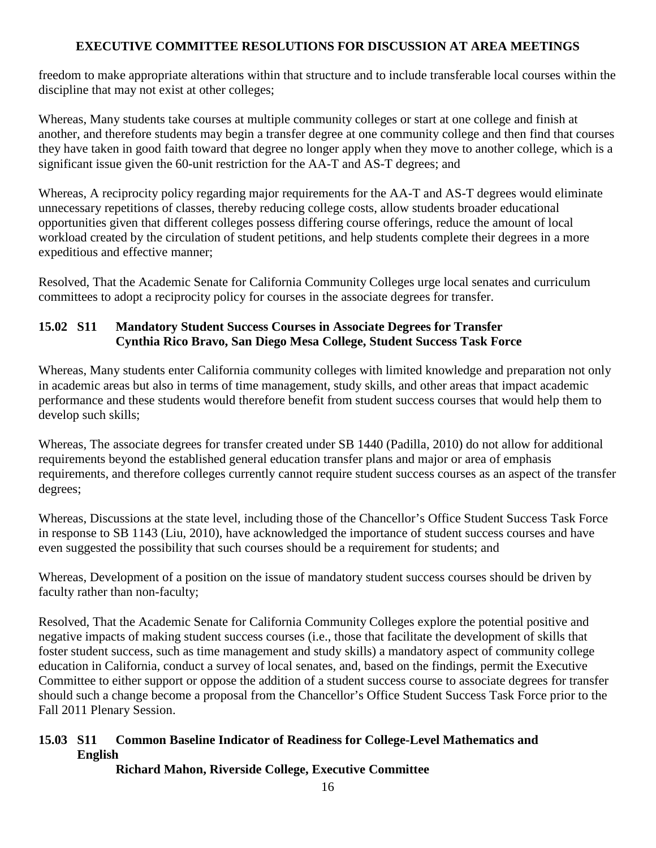freedom to make appropriate alterations within that structure and to include transferable local courses within the discipline that may not exist at other colleges;

Whereas, Many students take courses at multiple community colleges or start at one college and finish at another, and therefore students may begin a transfer degree at one community college and then find that courses they have taken in good faith toward that degree no longer apply when they move to another college, which is a significant issue given the 60-unit restriction for the AA-T and AS-T degrees; and

Whereas, A reciprocity policy regarding major requirements for the AA-T and AS-T degrees would eliminate unnecessary repetitions of classes, thereby reducing college costs, allow students broader educational opportunities given that different colleges possess differing course offerings, reduce the amount of local workload created by the circulation of student petitions, and help students complete their degrees in a more expeditious and effective manner;

Resolved, That the Academic Senate for California Community Colleges urge local senates and curriculum committees to adopt a reciprocity policy for courses in the associate degrees for transfer.

# **15.02 S11 Mandatory Student Success Courses in Associate Degrees for Transfer Cynthia Rico Bravo, San Diego Mesa College, Student Success Task Force**

Whereas, Many students enter California community colleges with limited knowledge and preparation not only in academic areas but also in terms of time management, study skills, and other areas that impact academic performance and these students would therefore benefit from student success courses that would help them to develop such skills;

Whereas, The associate degrees for transfer created under SB 1440 (Padilla, 2010) do not allow for additional requirements beyond the established general education transfer plans and major or area of emphasis requirements, and therefore colleges currently cannot require student success courses as an aspect of the transfer degrees;

Whereas, Discussions at the state level, including those of the Chancellor's Office Student Success Task Force in response to SB 1143 (Liu, 2010), have acknowledged the importance of student success courses and have even suggested the possibility that such courses should be a requirement for students; and

Whereas, Development of a position on the issue of mandatory student success courses should be driven by faculty rather than non-faculty;

Resolved, That the Academic Senate for California Community Colleges explore the potential positive and negative impacts of making student success courses (i.e., those that facilitate the development of skills that foster student success, such as time management and study skills) a mandatory aspect of community college education in California, conduct a survey of local senates, and, based on the findings, permit the Executive Committee to either support or oppose the addition of a student success course to associate degrees for transfer should such a change become a proposal from the Chancellor's Office Student Success Task Force prior to the Fall 2011 Plenary Session.

# **15.03 S11 Common Baseline Indicator of Readiness for College-Level Mathematics and English**

**Richard Mahon, Riverside College, Executive Committee**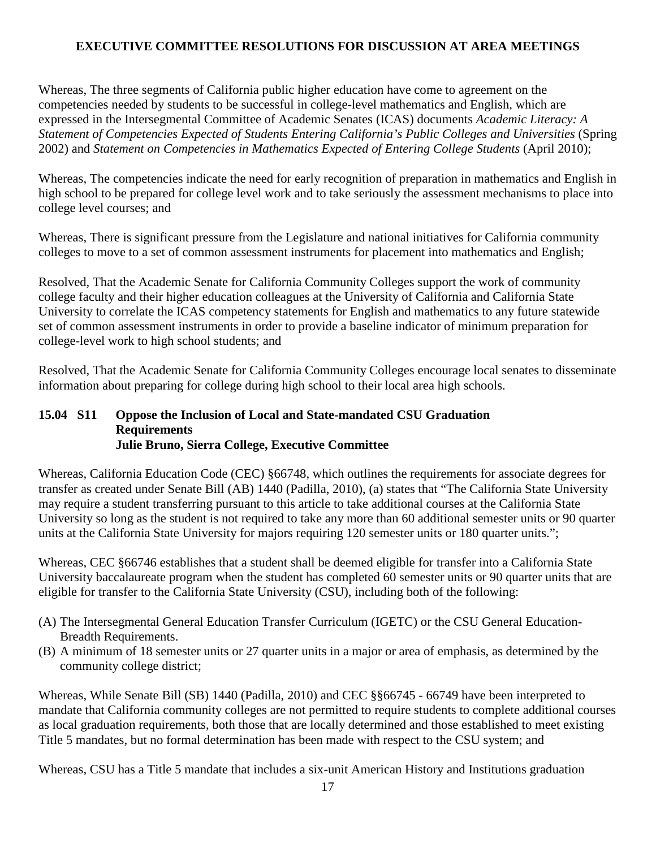Whereas, The three segments of California public higher education have come to agreement on the competencies needed by students to be successful in college-level mathematics and English, which are expressed in the Intersegmental Committee of Academic Senates (ICAS) documents *Academic Literacy: A Statement of Competencies Expected of Students Entering California's Public Colleges and Universities* (Spring 2002) and *Statement on Competencies in Mathematics Expected of Entering College Students* (April 2010);

Whereas, The competencies indicate the need for early recognition of preparation in mathematics and English in high school to be prepared for college level work and to take seriously the assessment mechanisms to place into college level courses; and

Whereas, There is significant pressure from the Legislature and national initiatives for California community colleges to move to a set of common assessment instruments for placement into mathematics and English;

Resolved, That the Academic Senate for California Community Colleges support the work of community college faculty and their higher education colleagues at the University of California and California State University to correlate the ICAS competency statements for English and mathematics to any future statewide set of common assessment instruments in order to provide a baseline indicator of minimum preparation for college-level work to high school students; and

Resolved, That the Academic Senate for California Community Colleges encourage local senates to disseminate information about preparing for college during high school to their local area high schools.

#### **15.04 S11 Oppose the Inclusion of Local and State-mandated CSU Graduation Requirements Julie Bruno, Sierra College, Executive Committee**

Whereas, California Education Code (CEC) §66748, which outlines the requirements for associate degrees for transfer as created under Senate Bill (AB) 1440 (Padilla, 2010), (a) states that "The California State University may require a student transferring pursuant to this article to take additional courses at the California State University so long as the student is not required to take any more than 60 additional semester units or 90 quarter units at the California State University for majors requiring 120 semester units or 180 quarter units.";

Whereas, CEC §66746 establishes that a student shall be deemed eligible for transfer into a California State University baccalaureate program when the student has completed 60 semester units or 90 quarter units that are eligible for transfer to the California State University (CSU), including both of the following:

- (A) The Intersegmental General Education Transfer Curriculum (IGETC) or the CSU General Education-Breadth Requirements.
- (B) A minimum of 18 semester units or 27 quarter units in a major or area of emphasis, as determined by the community college district;

Whereas, While Senate Bill (SB) 1440 (Padilla, 2010) and CEC §§66745 - 66749 have been interpreted to mandate that California community colleges are not permitted to require students to complete additional courses as local graduation requirements, both those that are locally determined and those established to meet existing Title 5 mandates, but no formal determination has been made with respect to the CSU system; and

Whereas, CSU has a Title 5 mandate that includes a six-unit American History and Institutions graduation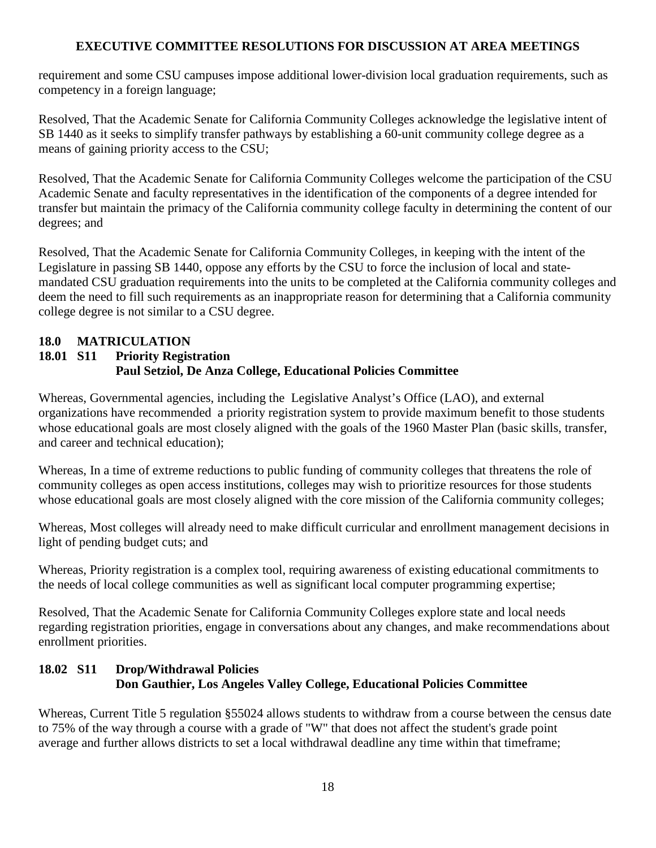requirement and some CSU campuses impose additional lower-division local graduation requirements, such as competency in a foreign language;

Resolved, That the Academic Senate for California Community Colleges acknowledge the legislative intent of SB 1440 as it seeks to simplify transfer pathways by establishing a 60-unit community college degree as a means of gaining priority access to the CSU;

Resolved, That the Academic Senate for California Community Colleges welcome the participation of the CSU Academic Senate and faculty representatives in the identification of the components of a degree intended for transfer but maintain the primacy of the California community college faculty in determining the content of our degrees; and

Resolved, That the Academic Senate for California Community Colleges, in keeping with the intent of the Legislature in passing SB 1440, oppose any efforts by the CSU to force the inclusion of local and statemandated CSU graduation requirements into the units to be completed at the California community colleges and deem the need to fill such requirements as an inappropriate reason for determining that a California community college degree is not similar to a CSU degree.

# **18.0 MATRICULATION 18.01 S11 Priority Registration Paul Setziol, De Anza College, Educational Policies Committee**

Whereas, Governmental agencies, including the Legislative Analyst's Office (LAO), and external organizations have recommended a priority registration system to provide maximum benefit to those students whose educational goals are most closely aligned with the goals of the 1960 Master Plan (basic skills, transfer, and career and technical education);

Whereas, In a time of extreme reductions to public funding of community colleges that threatens the role of community colleges as open access institutions, colleges may wish to prioritize resources for those students whose educational goals are most closely aligned with the core mission of the California community colleges;

Whereas, Most colleges will already need to make difficult curricular and enrollment management decisions in light of pending budget cuts; and

Whereas, Priority registration is a complex tool, requiring awareness of existing educational commitments to the needs of local college communities as well as significant local computer programming expertise;

Resolved, That the Academic Senate for California Community Colleges explore state and local needs regarding registration priorities, engage in conversations about any changes, and make recommendations about enrollment priorities.

# **18.02 S11 Drop/Withdrawal Policies Don Gauthier, Los Angeles Valley College, Educational Policies Committee**

Whereas, Current Title 5 regulation §55024 allows students to withdraw from a course between the census date to 75% of the way through a course with a grade of "W" that does not affect the student's grade point average and further allows districts to set a local withdrawal deadline any time within that timeframe;